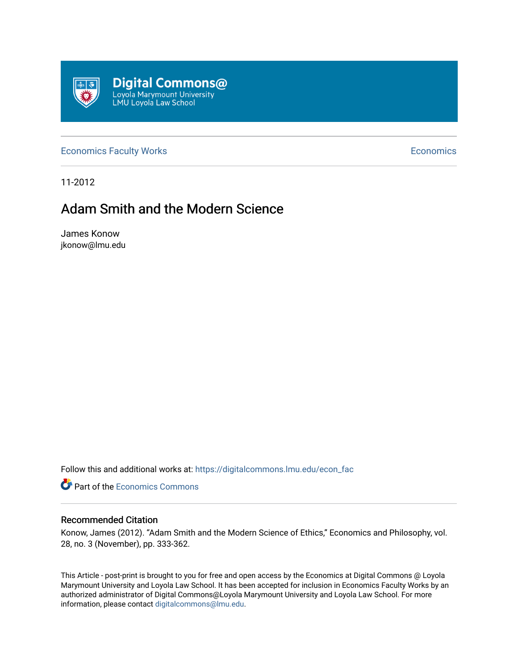

[Economics Faculty Works](https://digitalcommons.lmu.edu/econ_fac) **Economics** Faculty Works **Economics** 

11-2012

# Adam Smith and the Modern Science

James Konow jkonow@lmu.edu

Follow this and additional works at: [https://digitalcommons.lmu.edu/econ\\_fac](https://digitalcommons.lmu.edu/econ_fac?utm_source=digitalcommons.lmu.edu%2Fecon_fac%2F26&utm_medium=PDF&utm_campaign=PDFCoverPages)

**P** Part of the [Economics Commons](http://network.bepress.com/hgg/discipline/340?utm_source=digitalcommons.lmu.edu%2Fecon_fac%2F26&utm_medium=PDF&utm_campaign=PDFCoverPages)

## Recommended Citation

Konow, James (2012). "Adam Smith and the Modern Science of Ethics," Economics and Philosophy, vol. 28, no. 3 (November), pp. 333-362.

This Article - post-print is brought to you for free and open access by the Economics at Digital Commons @ Loyola Marymount University and Loyola Law School. It has been accepted for inclusion in Economics Faculty Works by an authorized administrator of Digital Commons@Loyola Marymount University and Loyola Law School. For more information, please contact [digitalcommons@lmu.edu.](mailto:digitalcommons@lmu.edu)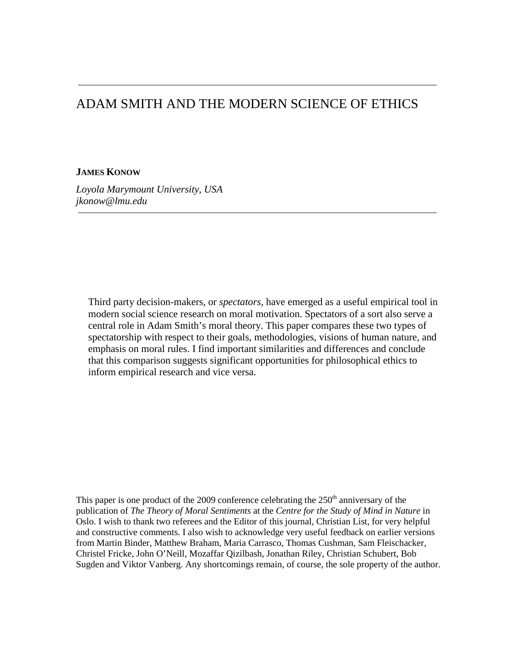## ADAM SMITH AND THE MODERN SCIENCE OF ETHICS

## **JAMES KONOW**

*Loyola Marymount University, USA jkonow@lmu.edu*

Third party decision-makers, or *spectators*, have emerged as a useful empirical tool in modern social science research on moral motivation. Spectators of a sort also serve a central role in Adam Smith's moral theory. This paper compares these two types of spectatorship with respect to their goals, methodologies, visions of human nature, and emphasis on moral rules. I find important similarities and differences and conclude that this comparison suggests significant opportunities for philosophical ethics to inform empirical research and vice versa.

This paper is one product of the 2009 conference celebrating the  $250<sup>th</sup>$  anniversary of the publication of *The Theory of Moral Sentiments* at the *Centre for the Study of Mind in Nature* in Oslo. I wish to thank two referees and the Editor of this journal, Christian List, for very helpful and constructive comments. I also wish to acknowledge very useful feedback on earlier versions from Martin Binder, Matthew Braham, Maria Carrasco, Thomas Cushman, Sam Fleischacker, Christel Fricke, John O'Neill, Mozaffar Qizilbash, Jonathan Riley, Christian Schubert, Bob Sugden and Viktor Vanberg. Any shortcomings remain, of course, the sole property of the author.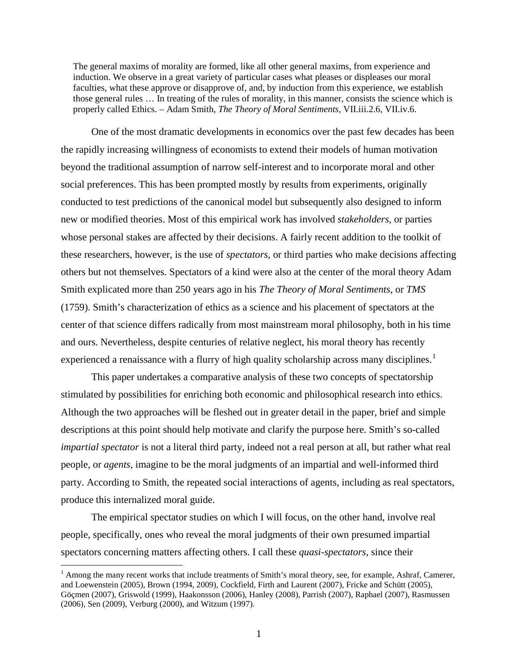The general maxims of morality are formed, like all other general maxims, from experience and induction. We observe in a great variety of particular cases what pleases or displeases our moral faculties, what these approve or disapprove of, and, by induction from this experience, we establish those general rules … In treating of the rules of morality, in this manner, consists the science which is properly called Ethics. – Adam Smith, *The Theory of Moral Sentiments*, VII.iii.2.6, VII.iv.6.

One of the most dramatic developments in economics over the past few decades has been the rapidly increasing willingness of economists to extend their models of human motivation beyond the traditional assumption of narrow self-interest and to incorporate moral and other social preferences. This has been prompted mostly by results from experiments, originally conducted to test predictions of the canonical model but subsequently also designed to inform new or modified theories. Most of this empirical work has involved *stakeholders*, or parties whose personal stakes are affected by their decisions. A fairly recent addition to the toolkit of these researchers, however, is the use of *spectators*, or third parties who make decisions affecting others but not themselves. Spectators of a kind were also at the center of the moral theory Adam Smith explicated more than 250 years ago in his *The Theory of Moral Sentiments*, or *TMS* (1759). Smith's characterization of ethics as a science and his placement of spectators at the center of that science differs radically from most mainstream moral philosophy, both in his time and ours. Nevertheless, despite centuries of relative neglect, his moral theory has recently experienced a renaissance with a flurry of high quality scholarship across many disciplines.<sup>[1](#page-2-0)</sup>

This paper undertakes a comparative analysis of these two concepts of spectatorship stimulated by possibilities for enriching both economic and philosophical research into ethics. Although the two approaches will be fleshed out in greater detail in the paper, brief and simple descriptions at this point should help motivate and clarify the purpose here. Smith's so-called *impartial spectator* is not a literal third party, indeed not a real person at all, but rather what real people, or *agents*, imagine to be the moral judgments of an impartial and well-informed third party. According to Smith, the repeated social interactions of agents, including as real spectators, produce this internalized moral guide.

The empirical spectator studies on which I will focus, on the other hand, involve real people, specifically, ones who reveal the moral judgments of their own presumed impartial spectators concerning matters affecting others. I call these *quasi-spectators*, since their

<span id="page-2-0"></span> $<sup>1</sup>$  Among the many recent works that include treatments of Smith's moral theory, see, for example, Ashraf, Camerer,</sup> and Loewenstein (2005), Brown (1994, 2009), Cockfield, Firth and Laurent (2007), Fricke and Schütt (2005), Göçmen (2007), Griswold (1999), Haakonsson (2006), Hanley (2008), Parrish (2007), Raphael (2007), Rasmussen (2006), Sen (2009), Verburg (2000), and Witzum (1997).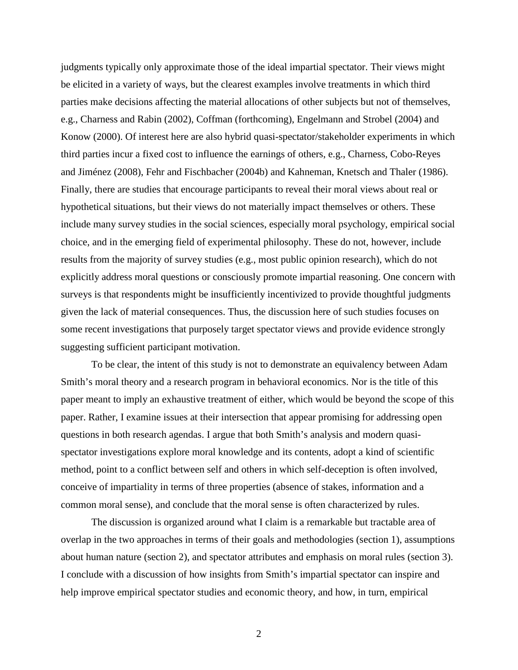judgments typically only approximate those of the ideal impartial spectator. Their views might be elicited in a variety of ways, but the clearest examples involve treatments in which third parties make decisions affecting the material allocations of other subjects but not of themselves, e.g., Charness and Rabin (2002), Coffman (forthcoming), Engelmann and Strobel (2004) and Konow (2000). Of interest here are also hybrid quasi-spectator/stakeholder experiments in which third parties incur a fixed cost to influence the earnings of others, e.g., Charness, Cobo-Reyes and Jiménez (2008), Fehr and Fischbacher (2004b) and Kahneman, Knetsch and Thaler (1986). Finally, there are studies that encourage participants to reveal their moral views about real or hypothetical situations, but their views do not materially impact themselves or others. These include many survey studies in the social sciences, especially moral psychology, empirical social choice, and in the emerging field of experimental philosophy. These do not, however, include results from the majority of survey studies (e.g., most public opinion research), which do not explicitly address moral questions or consciously promote impartial reasoning. One concern with surveys is that respondents might be insufficiently incentivized to provide thoughtful judgments given the lack of material consequences. Thus, the discussion here of such studies focuses on some recent investigations that purposely target spectator views and provide evidence strongly suggesting sufficient participant motivation.

To be clear, the intent of this study is not to demonstrate an equivalency between Adam Smith's moral theory and a research program in behavioral economics. Nor is the title of this paper meant to imply an exhaustive treatment of either, which would be beyond the scope of this paper. Rather, I examine issues at their intersection that appear promising for addressing open questions in both research agendas. I argue that both Smith's analysis and modern quasispectator investigations explore moral knowledge and its contents, adopt a kind of scientific method, point to a conflict between self and others in which self-deception is often involved, conceive of impartiality in terms of three properties (absence of stakes, information and a common moral sense), and conclude that the moral sense is often characterized by rules.

The discussion is organized around what I claim is a remarkable but tractable area of overlap in the two approaches in terms of their goals and methodologies (section 1), assumptions about human nature (section 2), and spectator attributes and emphasis on moral rules (section 3). I conclude with a discussion of how insights from Smith's impartial spectator can inspire and help improve empirical spectator studies and economic theory, and how, in turn, empirical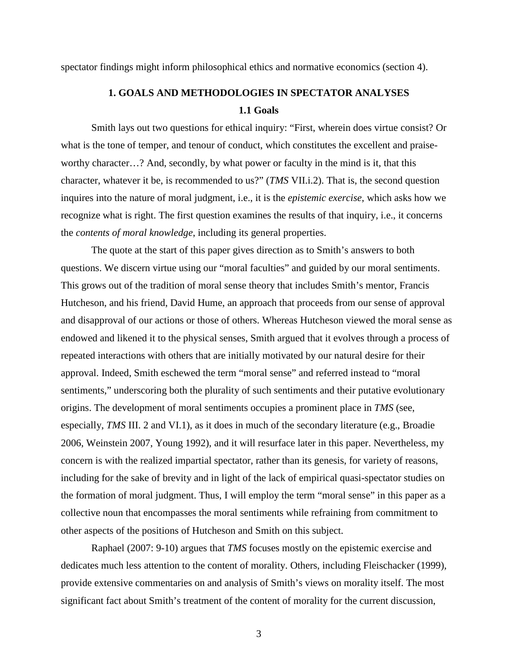spectator findings might inform philosophical ethics and normative economics (section 4).

## **1. GOALS AND METHODOLOGIES IN SPECTATOR ANALYSES 1.1 Goals**

Smith lays out two questions for ethical inquiry: "First, wherein does virtue consist? Or what is the tone of temper, and tenour of conduct, which constitutes the excellent and praiseworthy character…? And, secondly, by what power or faculty in the mind is it, that this character, whatever it be, is recommended to us?" (*TMS* VII.i.2). That is, the second question inquires into the nature of moral judgment, i.e., it is the *epistemic exercise*, which asks how we recognize what is right. The first question examines the results of that inquiry, i.e., it concerns the *contents of moral knowledge*, including its general properties.

The quote at the start of this paper gives direction as to Smith's answers to both questions. We discern virtue using our "moral faculties" and guided by our moral sentiments. This grows out of the tradition of moral sense theory that includes Smith's mentor, Francis Hutcheson, and his friend, David Hume, an approach that proceeds from our sense of approval and disapproval of our actions or those of others. Whereas Hutcheson viewed the moral sense as endowed and likened it to the physical senses, Smith argued that it evolves through a process of repeated interactions with others that are initially motivated by our natural desire for their approval. Indeed, Smith eschewed the term "moral sense" and referred instead to "moral sentiments," underscoring both the plurality of such sentiments and their putative evolutionary origins. The development of moral sentiments occupies a prominent place in *TMS* (see, especially, *TMS* III. 2 and VI.1), as it does in much of the secondary literature (e.g., Broadie 2006, Weinstein 2007, Young 1992), and it will resurface later in this paper. Nevertheless, my concern is with the realized impartial spectator, rather than its genesis, for variety of reasons, including for the sake of brevity and in light of the lack of empirical quasi-spectator studies on the formation of moral judgment. Thus, I will employ the term "moral sense" in this paper as a collective noun that encompasses the moral sentiments while refraining from commitment to other aspects of the positions of Hutcheson and Smith on this subject.

Raphael (2007: 9-10) argues that *TMS* focuses mostly on the epistemic exercise and dedicates much less attention to the content of morality. Others, including Fleischacker (1999), provide extensive commentaries on and analysis of Smith's views on morality itself. The most significant fact about Smith's treatment of the content of morality for the current discussion,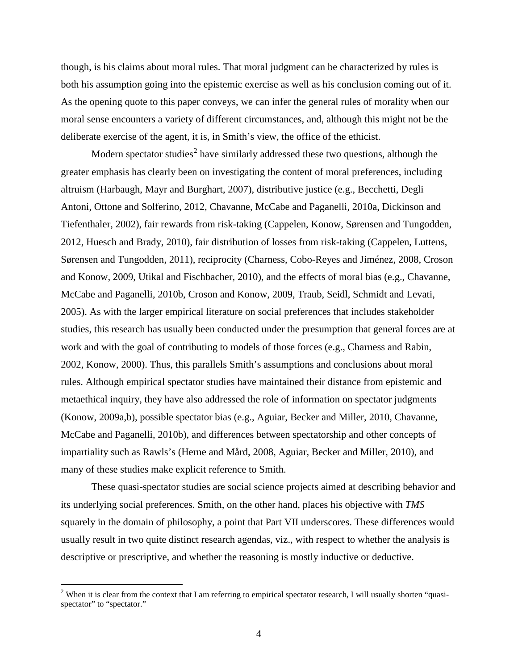though, is his claims about moral rules. That moral judgment can be characterized by rules is both his assumption going into the epistemic exercise as well as his conclusion coming out of it. As the opening quote to this paper conveys, we can infer the general rules of morality when our moral sense encounters a variety of different circumstances, and, although this might not be the deliberate exercise of the agent, it is, in Smith's view, the office of the ethicist.

Modern spectator studies<sup>[2](#page-5-0)</sup> have similarly addressed these two questions, although the greater emphasis has clearly been on investigating the content of moral preferences, including altruism (Harbaugh, Mayr and Burghart, 2007), distributive justice (e.g., Becchetti, Degli Antoni, Ottone and Solferino, 2012, Chavanne, McCabe and Paganelli, 2010a, Dickinson and Tiefenthaler, 2002), fair rewards from risk-taking (Cappelen, Konow, Sørensen and Tungodden, 2012, Huesch and Brady, 2010), fair distribution of losses from risk-taking (Cappelen, Luttens, Sørensen and Tungodden, 2011), reciprocity (Charness, Cobo-Reyes and Jiménez, 2008, Croson and Konow, 2009, Utikal and Fischbacher, 2010), and the effects of moral bias (e.g., Chavanne, McCabe and Paganelli, 2010b, Croson and Konow, 2009, Traub, Seidl, Schmidt and Levati, 2005). As with the larger empirical literature on social preferences that includes stakeholder studies, this research has usually been conducted under the presumption that general forces are at work and with the goal of contributing to models of those forces (e.g., Charness and Rabin, 2002, Konow, 2000). Thus, this parallels Smith's assumptions and conclusions about moral rules. Although empirical spectator studies have maintained their distance from epistemic and metaethical inquiry, they have also addressed the role of information on spectator judgments (Konow, 2009a,b), possible spectator bias (e.g., Aguiar, Becker and Miller, 2010, Chavanne, McCabe and Paganelli, 2010b), and differences between spectatorship and other concepts of impartiality such as Rawls's (Herne and Mård, 2008, Aguiar, Becker and Miller, 2010), and many of these studies make explicit reference to Smith.

These quasi-spectator studies are social science projects aimed at describing behavior and its underlying social preferences. Smith, on the other hand, places his objective with *TMS* squarely in the domain of philosophy, a point that Part VII underscores. These differences would usually result in two quite distinct research agendas, viz., with respect to whether the analysis is descriptive or prescriptive, and whether the reasoning is mostly inductive or deductive.

<span id="page-5-0"></span> $2$  When it is clear from the context that I am referring to empirical spectator research, I will usually shorten "quasispectator" to "spectator."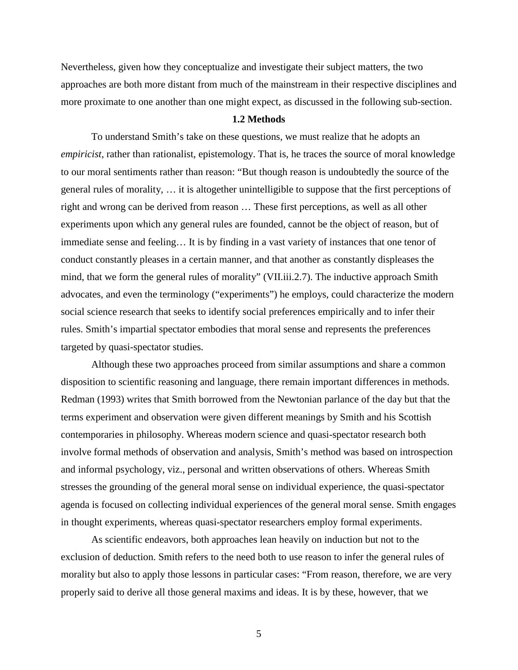Nevertheless, given how they conceptualize and investigate their subject matters, the two approaches are both more distant from much of the mainstream in their respective disciplines and more proximate to one another than one might expect, as discussed in the following sub-section.

#### **1.2 Methods**

To understand Smith's take on these questions, we must realize that he adopts an *empiricist*, rather than rationalist, epistemology. That is, he traces the source of moral knowledge to our moral sentiments rather than reason: "But though reason is undoubtedly the source of the general rules of morality, … it is altogether unintelligible to suppose that the first perceptions of right and wrong can be derived from reason … These first perceptions, as well as all other experiments upon which any general rules are founded, cannot be the object of reason, but of immediate sense and feeling… It is by finding in a vast variety of instances that one tenor of conduct constantly pleases in a certain manner, and that another as constantly displeases the mind, that we form the general rules of morality" (VII.iii.2.7). The inductive approach Smith advocates, and even the terminology ("experiments") he employs, could characterize the modern social science research that seeks to identify social preferences empirically and to infer their rules. Smith's impartial spectator embodies that moral sense and represents the preferences targeted by quasi-spectator studies.

Although these two approaches proceed from similar assumptions and share a common disposition to scientific reasoning and language, there remain important differences in methods. Redman (1993) writes that Smith borrowed from the Newtonian parlance of the day but that the terms experiment and observation were given different meanings by Smith and his Scottish contemporaries in philosophy. Whereas modern science and quasi-spectator research both involve formal methods of observation and analysis, Smith's method was based on introspection and informal psychology, viz., personal and written observations of others. Whereas Smith stresses the grounding of the general moral sense on individual experience, the quasi-spectator agenda is focused on collecting individual experiences of the general moral sense. Smith engages in thought experiments, whereas quasi-spectator researchers employ formal experiments.

As scientific endeavors, both approaches lean heavily on induction but not to the exclusion of deduction. Smith refers to the need both to use reason to infer the general rules of morality but also to apply those lessons in particular cases: "From reason, therefore, we are very properly said to derive all those general maxims and ideas. It is by these, however, that we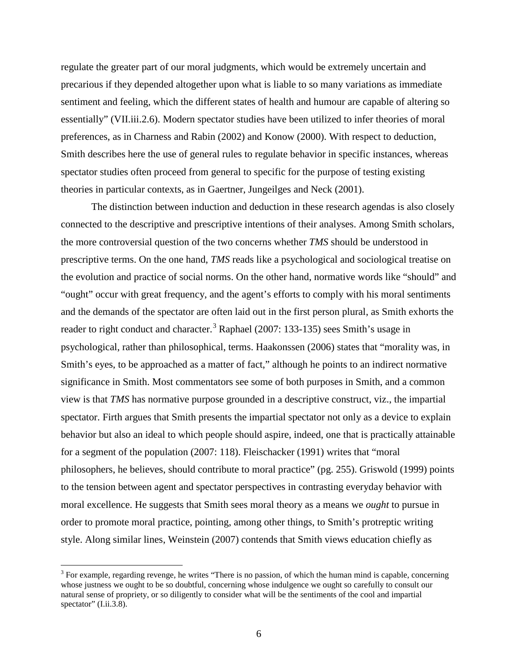regulate the greater part of our moral judgments, which would be extremely uncertain and precarious if they depended altogether upon what is liable to so many variations as immediate sentiment and feeling, which the different states of health and humour are capable of altering so essentially" (VII.iii.2.6). Modern spectator studies have been utilized to infer theories of moral preferences, as in Charness and Rabin (2002) and Konow (2000). With respect to deduction, Smith describes here the use of general rules to regulate behavior in specific instances, whereas spectator studies often proceed from general to specific for the purpose of testing existing theories in particular contexts, as in Gaertner, Jungeilges and Neck (2001).

The distinction between induction and deduction in these research agendas is also closely connected to the descriptive and prescriptive intentions of their analyses. Among Smith scholars, the more controversial question of the two concerns whether *TMS* should be understood in prescriptive terms. On the one hand, *TMS* reads like a psychological and sociological treatise on the evolution and practice of social norms. On the other hand, normative words like "should" and "ought" occur with great frequency, and the agent's efforts to comply with his moral sentiments and the demands of the spectator are often laid out in the first person plural, as Smith exhorts the reader to right conduct and character.<sup>[3](#page-7-0)</sup> Raphael (2007: 133-135) sees Smith's usage in psychological, rather than philosophical, terms. Haakonssen (2006) states that "morality was, in Smith's eyes, to be approached as a matter of fact," although he points to an indirect normative significance in Smith. Most commentators see some of both purposes in Smith, and a common view is that *TMS* has normative purpose grounded in a descriptive construct, viz., the impartial spectator. Firth argues that Smith presents the impartial spectator not only as a device to explain behavior but also an ideal to which people should aspire, indeed, one that is practically attainable for a segment of the population (2007: 118). Fleischacker (1991) writes that "moral philosophers, he believes, should contribute to moral practice" (pg. 255). Griswold (1999) points to the tension between agent and spectator perspectives in contrasting everyday behavior with moral excellence. He suggests that Smith sees moral theory as a means we *ought* to pursue in order to promote moral practice, pointing, among other things, to Smith's protreptic writing style. Along similar lines, Weinstein (2007) contends that Smith views education chiefly as

<span id="page-7-0"></span><sup>&</sup>lt;sup>3</sup> For example, regarding revenge, he writes "There is no passion, of which the human mind is capable, concerning whose justness we ought to be so doubtful, concerning whose indulgence we ought so carefully to consult our natural sense of propriety, or so diligently to consider what will be the sentiments of the cool and impartial spectator" (I.ii.3.8).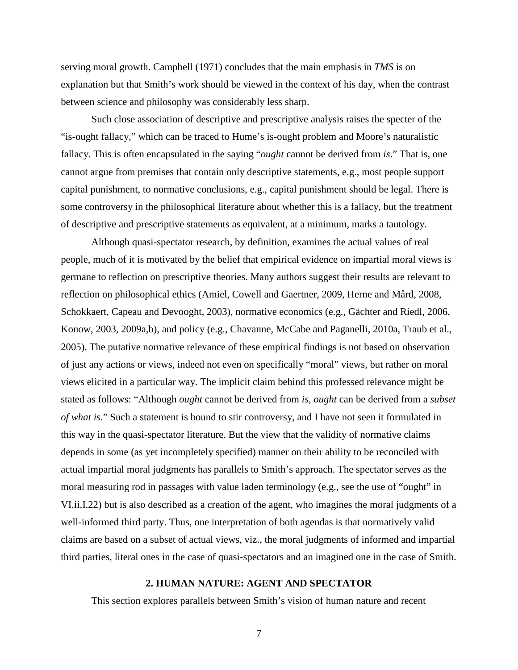serving moral growth. Campbell (1971) concludes that the main emphasis in *TMS* is on explanation but that Smith's work should be viewed in the context of his day, when the contrast between science and philosophy was considerably less sharp.

Such close association of descriptive and prescriptive analysis raises the specter of the "is-ought fallacy," which can be traced to Hume's is-ought problem and Moore's naturalistic fallacy. This is often encapsulated in the saying "*ought* cannot be derived from *is*." That is, one cannot argue from premises that contain only descriptive statements, e.g., most people support capital punishment, to normative conclusions, e.g., capital punishment should be legal. There is some controversy in the philosophical literature about whether this is a fallacy, but the treatment of descriptive and prescriptive statements as equivalent, at a minimum, marks a tautology.

Although quasi-spectator research, by definition, examines the actual values of real people, much of it is motivated by the belief that empirical evidence on impartial moral views is germane to reflection on prescriptive theories. Many authors suggest their results are relevant to reflection on philosophical ethics (Amiel, Cowell and Gaertner, 2009, Herne and Mård, 2008, Schokkaert, Capeau and Devooght, 2003), normative economics (e.g., Gächter and Riedl, 2006, Konow, 2003, 2009a,b), and policy (e.g., Chavanne, McCabe and Paganelli, 2010a, Traub et al., 2005). The putative normative relevance of these empirical findings is not based on observation of just any actions or views, indeed not even on specifically "moral" views, but rather on moral views elicited in a particular way. The implicit claim behind this professed relevance might be stated as follows: "Although *ought* cannot be derived from *is*, *ought* can be derived from a *subset of what is*." Such a statement is bound to stir controversy, and I have not seen it formulated in this way in the quasi-spectator literature. But the view that the validity of normative claims depends in some (as yet incompletely specified) manner on their ability to be reconciled with actual impartial moral judgments has parallels to Smith's approach. The spectator serves as the moral measuring rod in passages with value laden terminology (e.g., see the use of "ought" in VI.ii.I.22) but is also described as a creation of the agent, who imagines the moral judgments of a well-informed third party. Thus, one interpretation of both agendas is that normatively valid claims are based on a subset of actual views, viz., the moral judgments of informed and impartial third parties, literal ones in the case of quasi-spectators and an imagined one in the case of Smith.

#### **2. HUMAN NATURE: AGENT AND SPECTATOR**

This section explores parallels between Smith's vision of human nature and recent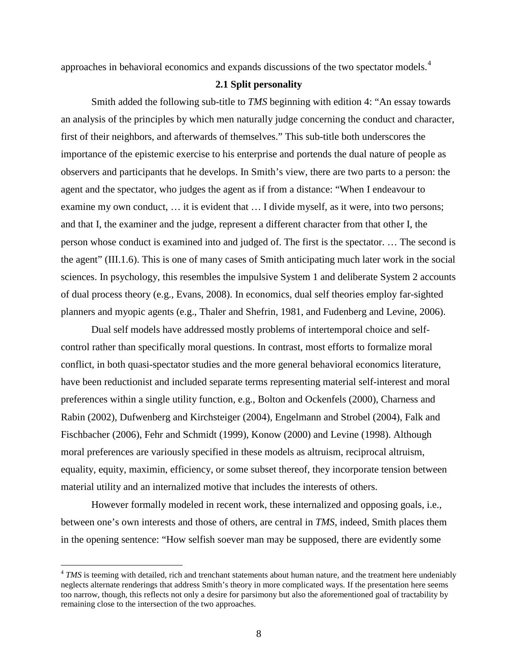approaches in behavioral economics and expands discussions of the two spectator models.<sup>[4](#page-9-0)</sup>

#### **2.1 Split personality**

Smith added the following sub-title to *TMS* beginning with edition 4: "An essay towards an analysis of the principles by which men naturally judge concerning the conduct and character, first of their neighbors, and afterwards of themselves." This sub-title both underscores the importance of the epistemic exercise to his enterprise and portends the dual nature of people as observers and participants that he develops. In Smith's view, there are two parts to a person: the agent and the spectator, who judges the agent as if from a distance: "When I endeavour to examine my own conduct, … it is evident that … I divide myself, as it were, into two persons; and that I, the examiner and the judge, represent a different character from that other I, the person whose conduct is examined into and judged of. The first is the spectator. … The second is the agent" (III.1.6). This is one of many cases of Smith anticipating much later work in the social sciences. In psychology, this resembles the impulsive System 1 and deliberate System 2 accounts of dual process theory (e.g., Evans, 2008). In economics, dual self theories employ far-sighted planners and myopic agents (e.g., Thaler and Shefrin, 1981, and Fudenberg and Levine, 2006).

Dual self models have addressed mostly problems of intertemporal choice and selfcontrol rather than specifically moral questions. In contrast, most efforts to formalize moral conflict, in both quasi-spectator studies and the more general behavioral economics literature, have been reductionist and included separate terms representing material self-interest and moral preferences within a single utility function, e.g., Bolton and Ockenfels (2000), Charness and Rabin (2002), Dufwenberg and Kirchsteiger (2004), Engelmann and Strobel (2004), Falk and Fischbacher (2006), Fehr and Schmidt (1999), Konow (2000) and Levine (1998). Although moral preferences are variously specified in these models as altruism, reciprocal altruism, equality, equity, maximin, efficiency, or some subset thereof, they incorporate tension between material utility and an internalized motive that includes the interests of others.

However formally modeled in recent work, these internalized and opposing goals, i.e., between one's own interests and those of others, are central in *TMS*, indeed, Smith places them in the opening sentence: "How selfish soever man may be supposed, there are evidently some

<span id="page-9-0"></span><sup>&</sup>lt;sup>4</sup> *TMS* is teeming with detailed, rich and trenchant statements about human nature, and the treatment here undeniably neglects alternate renderings that address Smith's theory in more complicated ways. If the presentation here seems too narrow, though, this reflects not only a desire for parsimony but also the aforementioned goal of tractability by remaining close to the intersection of the two approaches.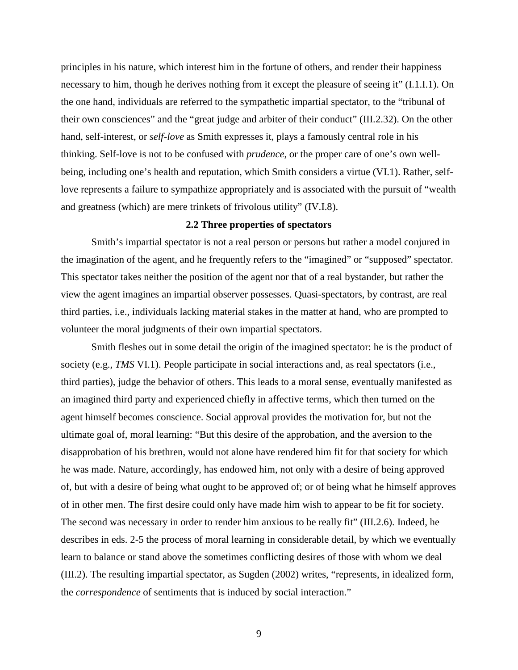principles in his nature, which interest him in the fortune of others, and render their happiness necessary to him, though he derives nothing from it except the pleasure of seeing it" (I.1.I.1). On the one hand, individuals are referred to the sympathetic impartial spectator, to the "tribunal of their own consciences" and the "great judge and arbiter of their conduct" (III.2.32). On the other hand, self-interest, or *self-love* as Smith expresses it, plays a famously central role in his thinking. Self-love is not to be confused with *prudence*, or the proper care of one's own wellbeing, including one's health and reputation, which Smith considers a virtue (VI.1). Rather, selflove represents a failure to sympathize appropriately and is associated with the pursuit of "wealth and greatness (which) are mere trinkets of frivolous utility" (IV.I.8).

## **2.2 Three properties of spectators**

Smith's impartial spectator is not a real person or persons but rather a model conjured in the imagination of the agent, and he frequently refers to the "imagined" or "supposed" spectator. This spectator takes neither the position of the agent nor that of a real bystander, but rather the view the agent imagines an impartial observer possesses. Quasi-spectators, by contrast, are real third parties, i.e., individuals lacking material stakes in the matter at hand, who are prompted to volunteer the moral judgments of their own impartial spectators.

Smith fleshes out in some detail the origin of the imagined spectator: he is the product of society (e.g., *TMS* VI.1). People participate in social interactions and, as real spectators (i.e., third parties), judge the behavior of others. This leads to a moral sense, eventually manifested as an imagined third party and experienced chiefly in affective terms, which then turned on the agent himself becomes conscience. Social approval provides the motivation for, but not the ultimate goal of, moral learning: "But this desire of the approbation, and the aversion to the disapprobation of his brethren, would not alone have rendered him fit for that society for which he was made. Nature, accordingly, has endowed him, not only with a desire of being approved of, but with a desire of being what ought to be approved of; or of being what he himself approves of in other men. The first desire could only have made him wish to appear to be fit for society. The second was necessary in order to render him anxious to be really fit" (III.2.6). Indeed, he describes in eds. 2-5 the process of moral learning in considerable detail, by which we eventually learn to balance or stand above the sometimes conflicting desires of those with whom we deal (III.2). The resulting impartial spectator, as Sugden (2002) writes, "represents, in idealized form, the *correspondence* of sentiments that is induced by social interaction."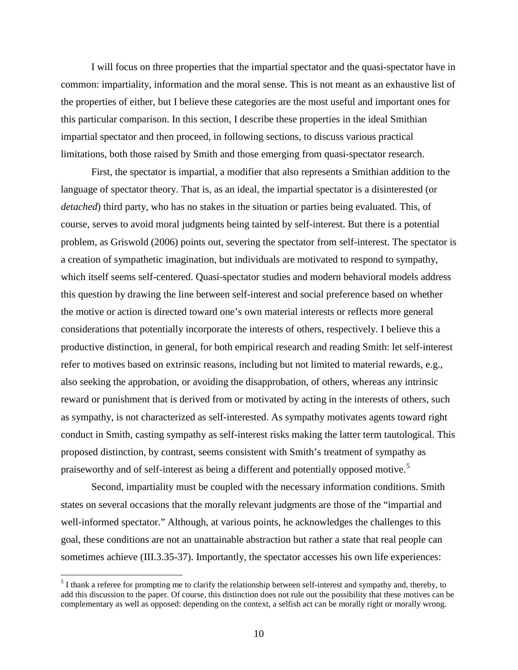I will focus on three properties that the impartial spectator and the quasi-spectator have in common: impartiality, information and the moral sense. This is not meant as an exhaustive list of the properties of either, but I believe these categories are the most useful and important ones for this particular comparison. In this section, I describe these properties in the ideal Smithian impartial spectator and then proceed, in following sections, to discuss various practical limitations, both those raised by Smith and those emerging from quasi-spectator research.

First, the spectator is impartial, a modifier that also represents a Smithian addition to the language of spectator theory. That is, as an ideal, the impartial spectator is a disinterested (or *detached*) third party, who has no stakes in the situation or parties being evaluated. This, of course, serves to avoid moral judgments being tainted by self-interest. But there is a potential problem, as Griswold (2006) points out, severing the spectator from self-interest. The spectator is a creation of sympathetic imagination, but individuals are motivated to respond to sympathy, which itself seems self-centered. Quasi-spectator studies and modern behavioral models address this question by drawing the line between self-interest and social preference based on whether the motive or action is directed toward one's own material interests or reflects more general considerations that potentially incorporate the interests of others, respectively. I believe this a productive distinction, in general, for both empirical research and reading Smith: let self-interest refer to motives based on extrinsic reasons, including but not limited to material rewards, e.g., also seeking the approbation, or avoiding the disapprobation, of others, whereas any intrinsic reward or punishment that is derived from or motivated by acting in the interests of others, such as sympathy, is not characterized as self-interested. As sympathy motivates agents toward right conduct in Smith, casting sympathy as self-interest risks making the latter term tautological. This proposed distinction, by contrast, seems consistent with Smith's treatment of sympathy as praiseworthy and of self-interest as being a different and potentially opposed motive.<sup>[5](#page-11-0)</sup>

Second, impartiality must be coupled with the necessary information conditions. Smith states on several occasions that the morally relevant judgments are those of the "impartial and well-informed spectator." Although, at various points, he acknowledges the challenges to this goal, these conditions are not an unattainable abstraction but rather a state that real people can sometimes achieve (III.3.35-37). Importantly, the spectator accesses his own life experiences:

<span id="page-11-0"></span> $<sup>5</sup>$  I thank a referee for prompting me to clarify the relationship between self-interest and sympathy and, thereby, to</sup> add this discussion to the paper. Of course, this distinction does not rule out the possibility that these motives can be complementary as well as opposed: depending on the context, a selfish act can be morally right or morally wrong.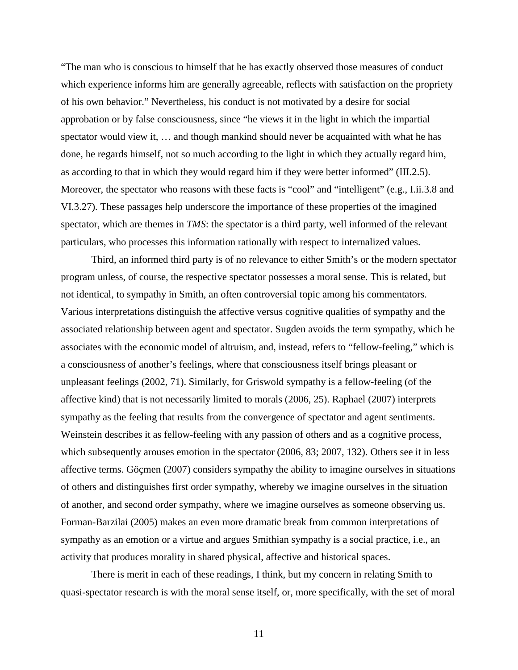"The man who is conscious to himself that he has exactly observed those measures of conduct which experience informs him are generally agreeable, reflects with satisfaction on the propriety of his own behavior." Nevertheless, his conduct is not motivated by a desire for social approbation or by false consciousness, since "he views it in the light in which the impartial spectator would view it, ... and though mankind should never be acquainted with what he has done, he regards himself, not so much according to the light in which they actually regard him, as according to that in which they would regard him if they were better informed" (III.2.5). Moreover, the spectator who reasons with these facts is "cool" and "intelligent" (e.g., I.ii.3.8 and VI.3.27). These passages help underscore the importance of these properties of the imagined spectator, which are themes in *TMS*: the spectator is a third party, well informed of the relevant particulars, who processes this information rationally with respect to internalized values.

Third, an informed third party is of no relevance to either Smith's or the modern spectator program unless, of course, the respective spectator possesses a moral sense. This is related, but not identical, to sympathy in Smith, an often controversial topic among his commentators. Various interpretations distinguish the affective versus cognitive qualities of sympathy and the associated relationship between agent and spectator. Sugden avoids the term sympathy, which he associates with the economic model of altruism, and, instead, refers to "fellow-feeling," which is a consciousness of another's feelings, where that consciousness itself brings pleasant or unpleasant feelings (2002, 71). Similarly, for Griswold sympathy is a fellow-feeling (of the affective kind) that is not necessarily limited to morals (2006, 25). Raphael (2007) interprets sympathy as the feeling that results from the convergence of spectator and agent sentiments. Weinstein describes it as fellow-feeling with any passion of others and as a cognitive process, which subsequently arouses emotion in the spectator (2006, 83; 2007, 132). Others see it in less affective terms. Göçmen (2007) considers sympathy the ability to imagine ourselves in situations of others and distinguishes first order sympathy, whereby we imagine ourselves in the situation of another, and second order sympathy, where we imagine ourselves as someone observing us. Forman-Barzilai (2005) makes an even more dramatic break from common interpretations of sympathy as an emotion or a virtue and argues Smithian sympathy is a social practice, i.e., an activity that produces morality in shared physical, affective and historical spaces.

There is merit in each of these readings, I think, but my concern in relating Smith to quasi-spectator research is with the moral sense itself, or, more specifically, with the set of moral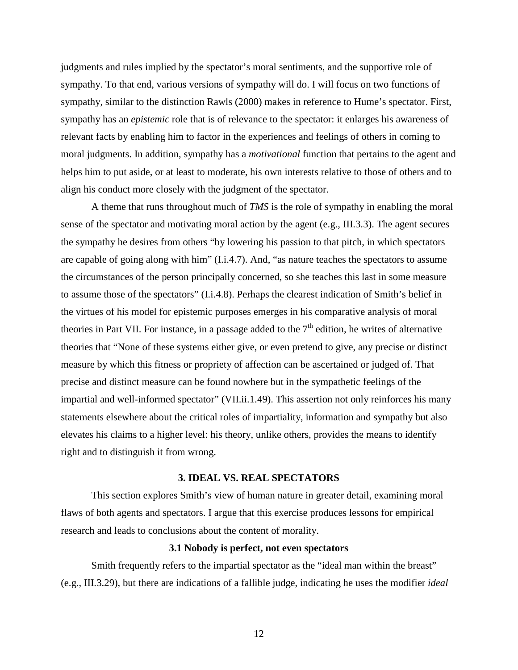judgments and rules implied by the spectator's moral sentiments, and the supportive role of sympathy. To that end, various versions of sympathy will do. I will focus on two functions of sympathy, similar to the distinction Rawls (2000) makes in reference to Hume's spectator. First, sympathy has an *epistemic* role that is of relevance to the spectator: it enlarges his awareness of relevant facts by enabling him to factor in the experiences and feelings of others in coming to moral judgments. In addition, sympathy has a *motivational* function that pertains to the agent and helps him to put aside, or at least to moderate, his own interests relative to those of others and to align his conduct more closely with the judgment of the spectator.

A theme that runs throughout much of *TMS* is the role of sympathy in enabling the moral sense of the spectator and motivating moral action by the agent (e.g., III.3.3). The agent secures the sympathy he desires from others "by lowering his passion to that pitch, in which spectators are capable of going along with him" (I.i.4.7). And, "as nature teaches the spectators to assume the circumstances of the person principally concerned, so she teaches this last in some measure to assume those of the spectators" (I.i.4.8). Perhaps the clearest indication of Smith's belief in the virtues of his model for epistemic purposes emerges in his comparative analysis of moral theories in Part VII. For instance, in a passage added to the  $7<sup>th</sup>$  edition, he writes of alternative theories that "None of these systems either give, or even pretend to give, any precise or distinct measure by which this fitness or propriety of affection can be ascertained or judged of. That precise and distinct measure can be found nowhere but in the sympathetic feelings of the impartial and well-informed spectator" (VII.ii.1.49). This assertion not only reinforces his many statements elsewhere about the critical roles of impartiality, information and sympathy but also elevates his claims to a higher level: his theory, unlike others, provides the means to identify right and to distinguish it from wrong.

#### **3. IDEAL VS. REAL SPECTATORS**

This section explores Smith's view of human nature in greater detail, examining moral flaws of both agents and spectators. I argue that this exercise produces lessons for empirical research and leads to conclusions about the content of morality.

#### **3.1 Nobody is perfect, not even spectators**

Smith frequently refers to the impartial spectator as the "ideal man within the breast" (e.g., III.3.29), but there are indications of a fallible judge, indicating he uses the modifier *ideal*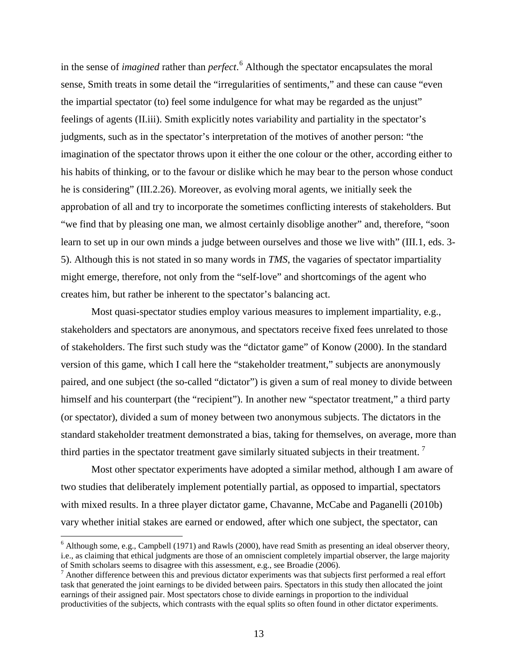in the sense of *imagined* rather than *perfect*. [6](#page-14-0) Although the spectator encapsulates the moral sense, Smith treats in some detail the "irregularities of sentiments," and these can cause "even the impartial spectator (to) feel some indulgence for what may be regarded as the unjust" feelings of agents (II.iii). Smith explicitly notes variability and partiality in the spectator's judgments, such as in the spectator's interpretation of the motives of another person: "the imagination of the spectator throws upon it either the one colour or the other, according either to his habits of thinking, or to the favour or dislike which he may bear to the person whose conduct he is considering" (III.2.26). Moreover, as evolving moral agents, we initially seek the approbation of all and try to incorporate the sometimes conflicting interests of stakeholders. But "we find that by pleasing one man, we almost certainly disoblige another" and, therefore, "soon learn to set up in our own minds a judge between ourselves and those we live with" (III.1, eds. 3- 5). Although this is not stated in so many words in *TMS*, the vagaries of spectator impartiality might emerge, therefore, not only from the "self-love" and shortcomings of the agent who creates him, but rather be inherent to the spectator's balancing act.

Most quasi-spectator studies employ various measures to implement impartiality, e.g., stakeholders and spectators are anonymous, and spectators receive fixed fees unrelated to those of stakeholders. The first such study was the "dictator game" of Konow (2000). In the standard version of this game, which I call here the "stakeholder treatment," subjects are anonymously paired, and one subject (the so-called "dictator") is given a sum of real money to divide between himself and his counterpart (the "recipient"). In another new "spectator treatment," a third party (or spectator), divided a sum of money between two anonymous subjects. The dictators in the standard stakeholder treatment demonstrated a bias, taking for themselves, on average, more than third parties in the spectator treatment gave similarly situated subjects in their treatment.<sup>[7](#page-14-1)</sup>

Most other spectator experiments have adopted a similar method, although I am aware of two studies that deliberately implement potentially partial, as opposed to impartial, spectators with mixed results. In a three player dictator game, Chavanne, McCabe and Paganelli (2010b) vary whether initial stakes are earned or endowed, after which one subject, the spectator, can

<span id="page-14-0"></span> $6$  Although some, e.g., Campbell (1971) and Rawls (2000), have read Smith as presenting an ideal observer theory, i.e., as claiming that ethical judgments are those of an omniscient completely impartial observer, the large majority of Smith scholars seems to disagree with this assessment, e.g., see Broadie (2006).

<span id="page-14-1"></span> $\alpha$ <sup>7</sup> Another difference between this and previous dictator experiments was that subjects first performed a real effort task that generated the joint earnings to be divided between pairs. Spectators in this study then allocated the joint earnings of their assigned pair. Most spectators chose to divide earnings in proportion to the individual productivities of the subjects, which contrasts with the equal splits so often found in other dictator experiments.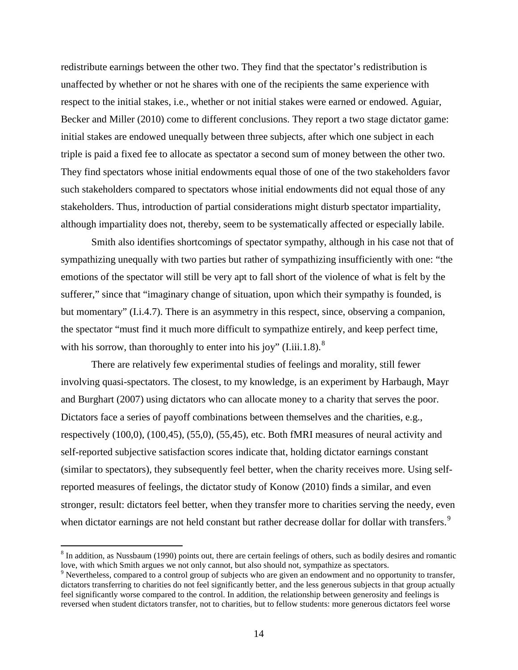redistribute earnings between the other two. They find that the spectator's redistribution is unaffected by whether or not he shares with one of the recipients the same experience with respect to the initial stakes, i.e., whether or not initial stakes were earned or endowed. Aguiar, Becker and Miller (2010) come to different conclusions. They report a two stage dictator game: initial stakes are endowed unequally between three subjects, after which one subject in each triple is paid a fixed fee to allocate as spectator a second sum of money between the other two. They find spectators whose initial endowments equal those of one of the two stakeholders favor such stakeholders compared to spectators whose initial endowments did not equal those of any stakeholders. Thus, introduction of partial considerations might disturb spectator impartiality, although impartiality does not, thereby, seem to be systematically affected or especially labile.

Smith also identifies shortcomings of spectator sympathy, although in his case not that of sympathizing unequally with two parties but rather of sympathizing insufficiently with one: "the emotions of the spectator will still be very apt to fall short of the violence of what is felt by the sufferer," since that "imaginary change of situation, upon which their sympathy is founded, is but momentary" (I.i.4.7). There is an asymmetry in this respect, since, observing a companion, the spectator "must find it much more difficult to sympathize entirely, and keep perfect time, with his sorrow, than thoroughly to enter into his joy" (I.iii.1.[8](#page-15-0)).<sup>8</sup>

There are relatively few experimental studies of feelings and morality, still fewer involving quasi-spectators. The closest, to my knowledge, is an experiment by Harbaugh, Mayr and Burghart (2007) using dictators who can allocate money to a charity that serves the poor. Dictators face a series of payoff combinations between themselves and the charities, e.g., respectively (100,0), (100,45), (55,0), (55,45), etc. Both fMRI measures of neural activity and self-reported subjective satisfaction scores indicate that, holding dictator earnings constant (similar to spectators), they subsequently feel better, when the charity receives more. Using selfreported measures of feelings, the dictator study of Konow (2010) finds a similar, and even stronger, result: dictators feel better, when they transfer more to charities serving the needy, even when dictator earnings are not held constant but rather decrease dollar for dollar with transfers.<sup>[9](#page-15-1)</sup>

<span id="page-15-0"></span> $8$  In addition, as Nussbaum (1990) points out, there are certain feelings of others, such as bodily desires and romantic love, with which Smith argues we not only cannot, but also should not, sympathize as spectators.

<span id="page-15-1"></span><sup>&</sup>lt;sup>9</sup> Nevertheless, compared to a control group of subjects who are given an endowment and no opportunity to transfer, dictators transferring to charities do not feel significantly better, and the less generous subjects in that group actually feel significantly worse compared to the control. In addition, the relationship between generosity and feelings is reversed when student dictators transfer, not to charities, but to fellow students: more generous dictators feel worse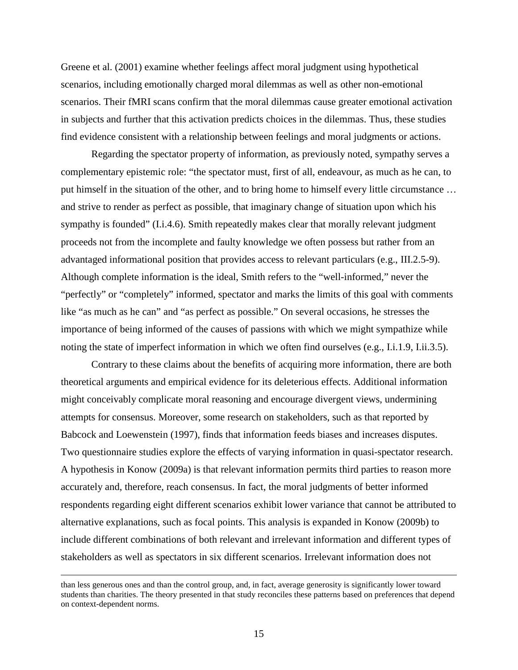Greene et al. (2001) examine whether feelings affect moral judgment using hypothetical scenarios, including emotionally charged moral dilemmas as well as other non-emotional scenarios. Their fMRI scans confirm that the moral dilemmas cause greater emotional activation in subjects and further that this activation predicts choices in the dilemmas. Thus, these studies find evidence consistent with a relationship between feelings and moral judgments or actions.

Regarding the spectator property of information, as previously noted, sympathy serves a complementary epistemic role: "the spectator must, first of all, endeavour, as much as he can, to put himself in the situation of the other, and to bring home to himself every little circumstance … and strive to render as perfect as possible, that imaginary change of situation upon which his sympathy is founded" (I.i.4.6). Smith repeatedly makes clear that morally relevant judgment proceeds not from the incomplete and faulty knowledge we often possess but rather from an advantaged informational position that provides access to relevant particulars (e.g., III.2.5-9). Although complete information is the ideal, Smith refers to the "well-informed," never the "perfectly" or "completely" informed, spectator and marks the limits of this goal with comments like "as much as he can" and "as perfect as possible." On several occasions, he stresses the importance of being informed of the causes of passions with which we might sympathize while noting the state of imperfect information in which we often find ourselves (e.g., I.i.1.9, I.ii.3.5).

Contrary to these claims about the benefits of acquiring more information, there are both theoretical arguments and empirical evidence for its deleterious effects. Additional information might conceivably complicate moral reasoning and encourage divergent views, undermining attempts for consensus. Moreover, some research on stakeholders, such as that reported by Babcock and Loewenstein (1997), finds that information feeds biases and increases disputes. Two questionnaire studies explore the effects of varying information in quasi-spectator research. A hypothesis in Konow (2009a) is that relevant information permits third parties to reason more accurately and, therefore, reach consensus. In fact, the moral judgments of better informed respondents regarding eight different scenarios exhibit lower variance that cannot be attributed to alternative explanations, such as focal points. This analysis is expanded in Konow (2009b) to include different combinations of both relevant and irrelevant information and different types of stakeholders as well as spectators in six different scenarios. Irrelevant information does not

than less generous ones and than the control group, and, in fact, average generosity is significantly lower toward students than charities. The theory presented in that study reconciles these patterns based on preferences that depend on context-dependent norms.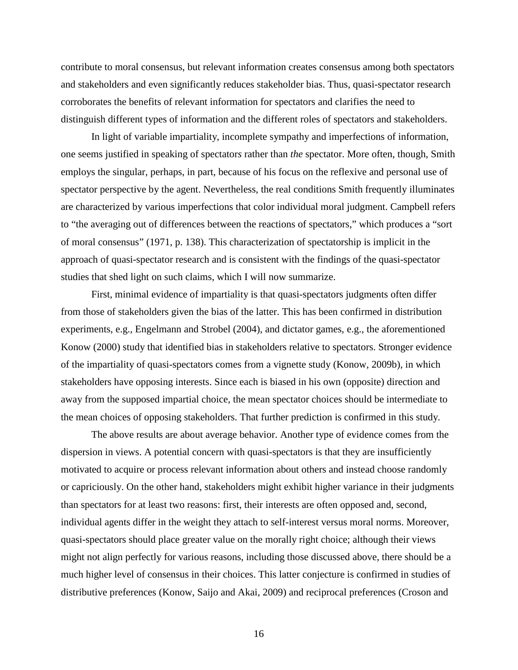contribute to moral consensus, but relevant information creates consensus among both spectators and stakeholders and even significantly reduces stakeholder bias. Thus, quasi-spectator research corroborates the benefits of relevant information for spectators and clarifies the need to distinguish different types of information and the different roles of spectators and stakeholders.

In light of variable impartiality, incomplete sympathy and imperfections of information, one seems justified in speaking of spectator*s* rather than *the* spectator. More often, though, Smith employs the singular, perhaps, in part, because of his focus on the reflexive and personal use of spectator perspective by the agent. Nevertheless, the real conditions Smith frequently illuminates are characterized by various imperfections that color individual moral judgment. Campbell refers to "the averaging out of differences between the reactions of spectators," which produces a "sort of moral consensus" (1971, p. 138). This characterization of spectatorship is implicit in the approach of quasi-spectator research and is consistent with the findings of the quasi-spectator studies that shed light on such claims, which I will now summarize.

First, minimal evidence of impartiality is that quasi-spectators judgments often differ from those of stakeholders given the bias of the latter. This has been confirmed in distribution experiments, e.g., Engelmann and Strobel (2004), and dictator games, e.g., the aforementioned Konow (2000) study that identified bias in stakeholders relative to spectators. Stronger evidence of the impartiality of quasi-spectators comes from a vignette study (Konow, 2009b), in which stakeholders have opposing interests. Since each is biased in his own (opposite) direction and away from the supposed impartial choice, the mean spectator choices should be intermediate to the mean choices of opposing stakeholders. That further prediction is confirmed in this study.

The above results are about average behavior. Another type of evidence comes from the dispersion in views. A potential concern with quasi-spectators is that they are insufficiently motivated to acquire or process relevant information about others and instead choose randomly or capriciously. On the other hand, stakeholders might exhibit higher variance in their judgments than spectators for at least two reasons: first, their interests are often opposed and, second, individual agents differ in the weight they attach to self-interest versus moral norms. Moreover, quasi-spectators should place greater value on the morally right choice; although their views might not align perfectly for various reasons, including those discussed above, there should be a much higher level of consensus in their choices. This latter conjecture is confirmed in studies of distributive preferences (Konow, Saijo and Akai, 2009) and reciprocal preferences (Croson and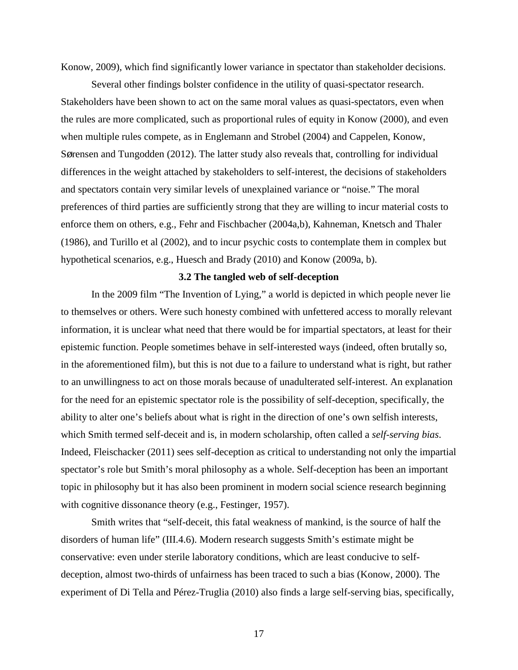Konow, 2009), which find significantly lower variance in spectator than stakeholder decisions.

Several other findings bolster confidence in the utility of quasi-spectator research. Stakeholders have been shown to act on the same moral values as quasi-spectators, even when the rules are more complicated, such as proportional rules of equity in Konow (2000), and even when multiple rules compete, as in Englemann and Strobel (2004) and Cappelen, Konow, Sørensen and Tungodden (2012). The latter study also reveals that, controlling for individual differences in the weight attached by stakeholders to self-interest, the decisions of stakeholders and spectators contain very similar levels of unexplained variance or "noise." The moral preferences of third parties are sufficiently strong that they are willing to incur material costs to enforce them on others, e.g., Fehr and Fischbacher (2004a,b), Kahneman, Knetsch and Thaler (1986), and Turillo et al (2002), and to incur psychic costs to contemplate them in complex but hypothetical scenarios, e.g., Huesch and Brady (2010) and Konow (2009a, b).

## **3.2 The tangled web of self-deception**

In the 2009 film "The Invention of Lying," a world is depicted in which people never lie to themselves or others. Were such honesty combined with unfettered access to morally relevant information, it is unclear what need that there would be for impartial spectators, at least for their epistemic function. People sometimes behave in self-interested ways (indeed, often brutally so, in the aforementioned film), but this is not due to a failure to understand what is right, but rather to an unwillingness to act on those morals because of unadulterated self-interest. An explanation for the need for an epistemic spectator role is the possibility of self-deception, specifically, the ability to alter one's beliefs about what is right in the direction of one's own selfish interests, which Smith termed self-deceit and is, in modern scholarship, often called a *self-serving bias*. Indeed, Fleischacker (2011) sees self-deception as critical to understanding not only the impartial spectator's role but Smith's moral philosophy as a whole. Self-deception has been an important topic in philosophy but it has also been prominent in modern social science research beginning with cognitive dissonance theory (e.g., Festinger, 1957).

Smith writes that "self-deceit, this fatal weakness of mankind, is the source of half the disorders of human life" (III.4.6). Modern research suggests Smith's estimate might be conservative: even under sterile laboratory conditions, which are least conducive to selfdeception, almost two-thirds of unfairness has been traced to such a bias (Konow, 2000). The experiment of Di Tella and Pérez-Truglia (2010) also finds a large self-serving bias, specifically,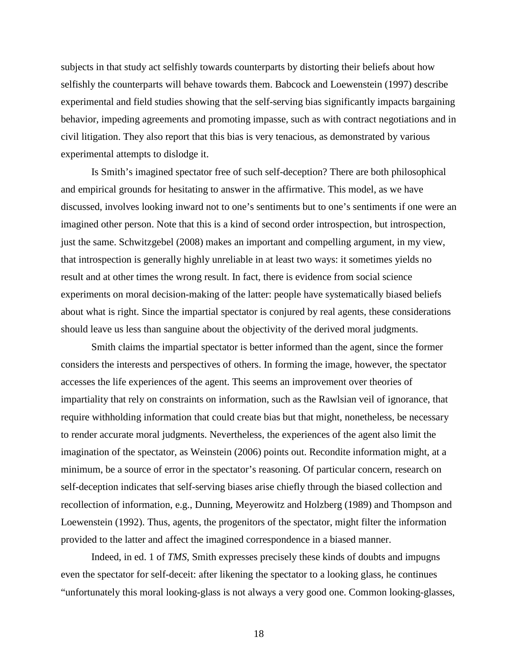subjects in that study act selfishly towards counterparts by distorting their beliefs about how selfishly the counterparts will behave towards them. Babcock and Loewenstein (1997) describe experimental and field studies showing that the self-serving bias significantly impacts bargaining behavior, impeding agreements and promoting impasse, such as with contract negotiations and in civil litigation. They also report that this bias is very tenacious, as demonstrated by various experimental attempts to dislodge it.

Is Smith's imagined spectator free of such self-deception? There are both philosophical and empirical grounds for hesitating to answer in the affirmative. This model, as we have discussed, involves looking inward not to one's sentiments but to one's sentiments if one were an imagined other person. Note that this is a kind of second order introspection, but introspection, just the same. Schwitzgebel (2008) makes an important and compelling argument, in my view, that introspection is generally highly unreliable in at least two ways: it sometimes yields no result and at other times the wrong result. In fact, there is evidence from social science experiments on moral decision-making of the latter: people have systematically biased beliefs about what is right. Since the impartial spectator is conjured by real agents, these considerations should leave us less than sanguine about the objectivity of the derived moral judgments.

Smith claims the impartial spectator is better informed than the agent, since the former considers the interests and perspectives of others. In forming the image, however, the spectator accesses the life experiences of the agent. This seems an improvement over theories of impartiality that rely on constraints on information, such as the Rawlsian veil of ignorance, that require withholding information that could create bias but that might, nonetheless, be necessary to render accurate moral judgments. Nevertheless, the experiences of the agent also limit the imagination of the spectator, as Weinstein (2006) points out. Recondite information might, at a minimum, be a source of error in the spectator's reasoning. Of particular concern, research on self-deception indicates that self-serving biases arise chiefly through the biased collection and recollection of information, e.g., Dunning, Meyerowitz and Holzberg (1989) and Thompson and Loewenstein (1992). Thus, agents, the progenitors of the spectator, might filter the information provided to the latter and affect the imagined correspondence in a biased manner.

Indeed, in ed. 1 of *TMS*, Smith expresses precisely these kinds of doubts and impugns even the spectator for self-deceit: after likening the spectator to a looking glass, he continues "unfortunately this moral looking-glass is not always a very good one. Common looking-glasses,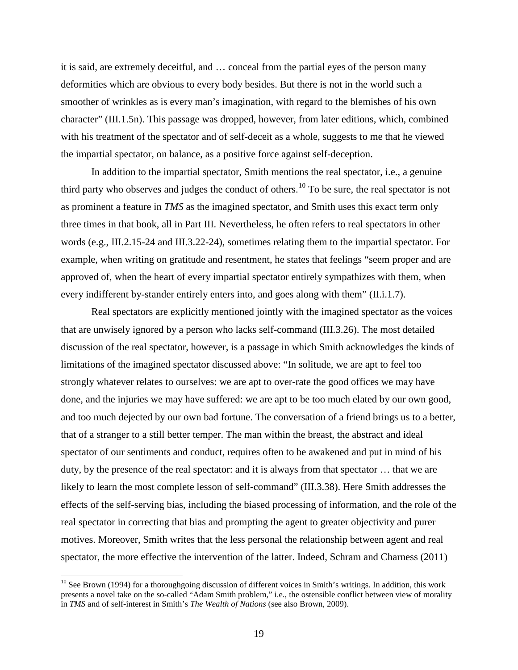it is said, are extremely deceitful, and … conceal from the partial eyes of the person many deformities which are obvious to every body besides. But there is not in the world such a smoother of wrinkles as is every man's imagination, with regard to the blemishes of his own character" (III.1.5n). This passage was dropped, however, from later editions, which, combined with his treatment of the spectator and of self-deceit as a whole, suggests to me that he viewed the impartial spectator, on balance, as a positive force against self-deception.

In addition to the impartial spectator, Smith mentions the real spectator, i.e., a genuine third party who observes and judges the conduct of others.<sup>[10](#page-20-0)</sup> To be sure, the real spectator is not as prominent a feature in *TMS* as the imagined spectator, and Smith uses this exact term only three times in that book, all in Part III. Nevertheless, he often refers to real spectators in other words (e.g., III.2.15-24 and III.3.22-24), sometimes relating them to the impartial spectator. For example, when writing on gratitude and resentment, he states that feelings "seem proper and are approved of, when the heart of every impartial spectator entirely sympathizes with them, when every indifferent by-stander entirely enters into, and goes along with them" (II.i.1.7).

Real spectators are explicitly mentioned jointly with the imagined spectator as the voices that are unwisely ignored by a person who lacks self-command (III.3.26). The most detailed discussion of the real spectator, however, is a passage in which Smith acknowledges the kinds of limitations of the imagined spectator discussed above: "In solitude, we are apt to feel too strongly whatever relates to ourselves: we are apt to over-rate the good offices we may have done, and the injuries we may have suffered: we are apt to be too much elated by our own good, and too much dejected by our own bad fortune. The conversation of a friend brings us to a better, that of a stranger to a still better temper. The man within the breast, the abstract and ideal spectator of our sentiments and conduct, requires often to be awakened and put in mind of his duty, by the presence of the real spectator: and it is always from that spectator … that we are likely to learn the most complete lesson of self-command" (III.3.38). Here Smith addresses the effects of the self-serving bias, including the biased processing of information, and the role of the real spectator in correcting that bias and prompting the agent to greater objectivity and purer motives. Moreover, Smith writes that the less personal the relationship between agent and real spectator, the more effective the intervention of the latter. Indeed, Schram and Charness (2011)

<span id="page-20-0"></span> $10$  See Brown (1994) for a thoroughgoing discussion of different voices in Smith's writings. In addition, this work presents a novel take on the so-called "Adam Smith problem," i.e., the ostensible conflict between view of morality in *TMS* and of self-interest in Smith's *The Wealth of Nations* (see also Brown, 2009).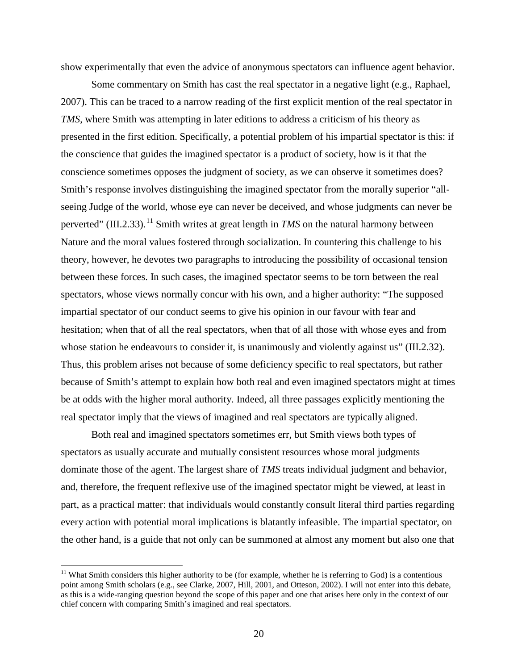show experimentally that even the advice of anonymous spectators can influence agent behavior.

Some commentary on Smith has cast the real spectator in a negative light (e.g., Raphael, 2007). This can be traced to a narrow reading of the first explicit mention of the real spectator in *TMS*, where Smith was attempting in later editions to address a criticism of his theory as presented in the first edition. Specifically, a potential problem of his impartial spectator is this: if the conscience that guides the imagined spectator is a product of society, how is it that the conscience sometimes opposes the judgment of society, as we can observe it sometimes does? Smith's response involves distinguishing the imagined spectator from the morally superior "allseeing Judge of the world, whose eye can never be deceived, and whose judgments can never be perverted" (III.2.33).<sup>[11](#page-21-0)</sup> Smith writes at great length in *TMS* on the natural harmony between Nature and the moral values fostered through socialization. In countering this challenge to his theory, however, he devotes two paragraphs to introducing the possibility of occasional tension between these forces. In such cases, the imagined spectator seems to be torn between the real spectators, whose views normally concur with his own, and a higher authority: "The supposed impartial spectator of our conduct seems to give his opinion in our favour with fear and hesitation; when that of all the real spectators, when that of all those with whose eyes and from whose station he endeavours to consider it, is unanimously and violently against us" (III.2.32). Thus, this problem arises not because of some deficiency specific to real spectators, but rather because of Smith's attempt to explain how both real and even imagined spectators might at times be at odds with the higher moral authority. Indeed, all three passages explicitly mentioning the real spectator imply that the views of imagined and real spectators are typically aligned.

Both real and imagined spectators sometimes err, but Smith views both types of spectators as usually accurate and mutually consistent resources whose moral judgments dominate those of the agent. The largest share of *TMS* treats individual judgment and behavior, and, therefore, the frequent reflexive use of the imagined spectator might be viewed, at least in part, as a practical matter: that individuals would constantly consult literal third parties regarding every action with potential moral implications is blatantly infeasible. The impartial spectator, on the other hand, is a guide that not only can be summoned at almost any moment but also one that

<span id="page-21-0"></span><sup>&</sup>lt;sup>11</sup> What Smith considers this higher authority to be (for example, whether he is referring to God) is a contentious point among Smith scholars (e.g., see Clarke, 2007, Hill, 2001, and Otteson, 2002). I will not enter into this debate, as this is a wide-ranging question beyond the scope of this paper and one that arises here only in the context of our chief concern with comparing Smith's imagined and real spectators.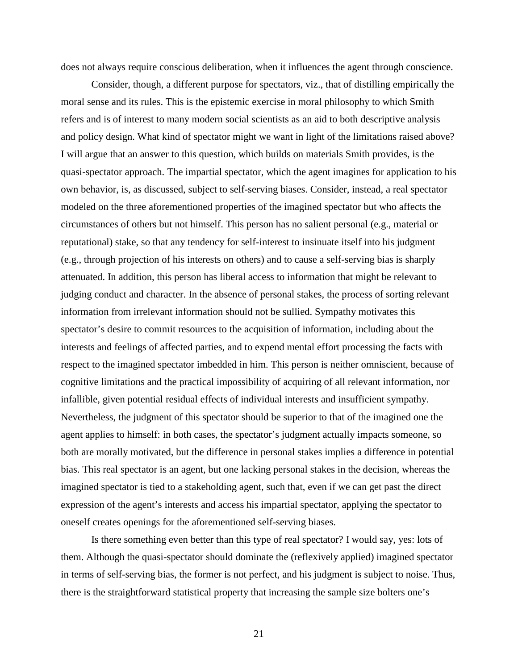does not always require conscious deliberation, when it influences the agent through conscience.

Consider, though, a different purpose for spectators, viz., that of distilling empirically the moral sense and its rules. This is the epistemic exercise in moral philosophy to which Smith refers and is of interest to many modern social scientists as an aid to both descriptive analysis and policy design. What kind of spectator might we want in light of the limitations raised above? I will argue that an answer to this question, which builds on materials Smith provides, is the quasi-spectator approach. The impartial spectator, which the agent imagines for application to his own behavior, is, as discussed, subject to self-serving biases. Consider, instead, a real spectator modeled on the three aforementioned properties of the imagined spectator but who affects the circumstances of others but not himself. This person has no salient personal (e.g., material or reputational) stake, so that any tendency for self-interest to insinuate itself into his judgment (e.g., through projection of his interests on others) and to cause a self-serving bias is sharply attenuated. In addition, this person has liberal access to information that might be relevant to judging conduct and character. In the absence of personal stakes, the process of sorting relevant information from irrelevant information should not be sullied. Sympathy motivates this spectator's desire to commit resources to the acquisition of information, including about the interests and feelings of affected parties, and to expend mental effort processing the facts with respect to the imagined spectator imbedded in him. This person is neither omniscient, because of cognitive limitations and the practical impossibility of acquiring of all relevant information, nor infallible, given potential residual effects of individual interests and insufficient sympathy. Nevertheless, the judgment of this spectator should be superior to that of the imagined one the agent applies to himself: in both cases, the spectator's judgment actually impacts someone, so both are morally motivated, but the difference in personal stakes implies a difference in potential bias. This real spectator is an agent, but one lacking personal stakes in the decision, whereas the imagined spectator is tied to a stakeholding agent, such that, even if we can get past the direct expression of the agent's interests and access his impartial spectator, applying the spectator to oneself creates openings for the aforementioned self-serving biases.

Is there something even better than this type of real spectator? I would say, yes: lots of them. Although the quasi-spectator should dominate the (reflexively applied) imagined spectator in terms of self-serving bias, the former is not perfect, and his judgment is subject to noise. Thus, there is the straightforward statistical property that increasing the sample size bolters one's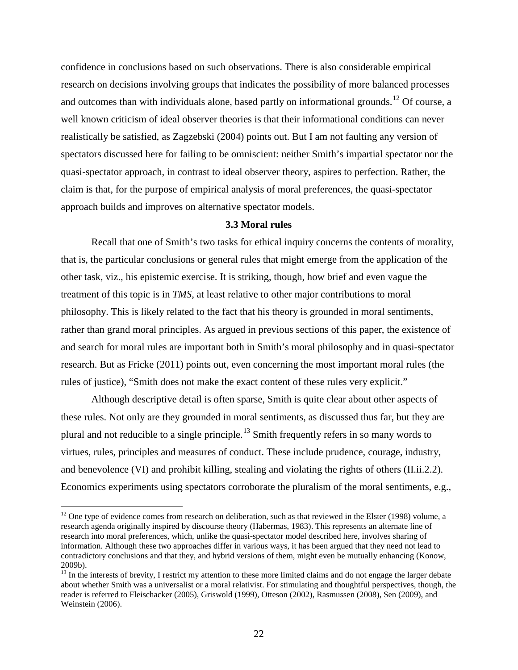confidence in conclusions based on such observations. There is also considerable empirical research on decisions involving groups that indicates the possibility of more balanced processes and outcomes than with individuals alone, based partly on informational grounds.<sup>[12](#page-23-0)</sup> Of course, a well known criticism of ideal observer theories is that their informational conditions can never realistically be satisfied, as Zagzebski (2004) points out. But I am not faulting any version of spectators discussed here for failing to be omniscient: neither Smith's impartial spectator nor the quasi-spectator approach, in contrast to ideal observer theory, aspires to perfection. Rather, the claim is that, for the purpose of empirical analysis of moral preferences, the quasi-spectator approach builds and improves on alternative spectator models.

## **3.3 Moral rules**

Recall that one of Smith's two tasks for ethical inquiry concerns the contents of morality, that is, the particular conclusions or general rules that might emerge from the application of the other task, viz., his epistemic exercise. It is striking, though, how brief and even vague the treatment of this topic is in *TMS*, at least relative to other major contributions to moral philosophy. This is likely related to the fact that his theory is grounded in moral sentiments, rather than grand moral principles. As argued in previous sections of this paper, the existence of and search for moral rules are important both in Smith's moral philosophy and in quasi-spectator research. But as Fricke (2011) points out, even concerning the most important moral rules (the rules of justice), "Smith does not make the exact content of these rules very explicit."

Although descriptive detail is often sparse, Smith is quite clear about other aspects of these rules. Not only are they grounded in moral sentiments, as discussed thus far, but they are plural and not reducible to a single principle.<sup>[13](#page-23-1)</sup> Smith frequently refers in so many words to virtues, rules, principles and measures of conduct. These include prudence, courage, industry, and benevolence (VI) and prohibit killing, stealing and violating the rights of others (II.ii.2.2). Economics experiments using spectators corroborate the pluralism of the moral sentiments, e.g.,

<span id="page-23-0"></span> $12$  One type of evidence comes from research on deliberation, such as that reviewed in the Elster (1998) volume, a research agenda originally inspired by discourse theory (Habermas, 1983). This represents an alternate line of research into moral preferences, which, unlike the quasi-spectator model described here, involves sharing of information. Although these two approaches differ in various ways, it has been argued that they need not lead to contradictory conclusions and that they, and hybrid versions of them, might even be mutually enhancing (Konow, 2009b).

<span id="page-23-1"></span><sup>&</sup>lt;sup>13</sup> In the interests of brevity, I restrict my attention to these more limited claims and do not engage the larger debate about whether Smith was a universalist or a moral relativist. For stimulating and thoughtful perspectives, though, the reader is referred to Fleischacker (2005), Griswold (1999), Otteson (2002), Rasmussen (2008), Sen (2009), and Weinstein (2006).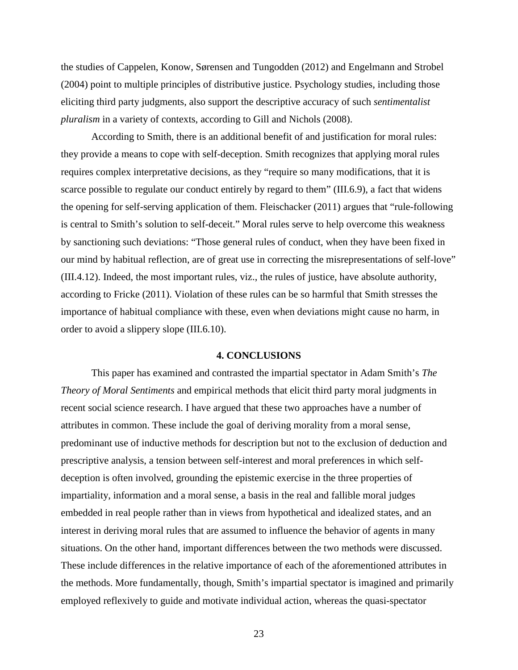the studies of Cappelen, Konow, Sørensen and Tungodden (2012) and Engelmann and Strobel (2004) point to multiple principles of distributive justice. Psychology studies, including those eliciting third party judgments, also support the descriptive accuracy of such *sentimentalist pluralism* in a variety of contexts, according to Gill and Nichols (2008).

According to Smith, there is an additional benefit of and justification for moral rules: they provide a means to cope with self-deception. Smith recognizes that applying moral rules requires complex interpretative decisions, as they "require so many modifications, that it is scarce possible to regulate our conduct entirely by regard to them" (III.6.9), a fact that widens the opening for self-serving application of them. Fleischacker (2011) argues that "rule-following is central to Smith's solution to self-deceit." Moral rules serve to help overcome this weakness by sanctioning such deviations: "Those general rules of conduct, when they have been fixed in our mind by habitual reflection, are of great use in correcting the misrepresentations of self-love" (III.4.12). Indeed, the most important rules, viz., the rules of justice, have absolute authority, according to Fricke (2011). Violation of these rules can be so harmful that Smith stresses the importance of habitual compliance with these, even when deviations might cause no harm, in order to avoid a slippery slope (III.6.10).

#### **4. CONCLUSIONS**

This paper has examined and contrasted the impartial spectator in Adam Smith's *The Theory of Moral Sentiments* and empirical methods that elicit third party moral judgments in recent social science research. I have argued that these two approaches have a number of attributes in common. These include the goal of deriving morality from a moral sense, predominant use of inductive methods for description but not to the exclusion of deduction and prescriptive analysis, a tension between self-interest and moral preferences in which selfdeception is often involved, grounding the epistemic exercise in the three properties of impartiality, information and a moral sense, a basis in the real and fallible moral judges embedded in real people rather than in views from hypothetical and idealized states, and an interest in deriving moral rules that are assumed to influence the behavior of agents in many situations. On the other hand, important differences between the two methods were discussed. These include differences in the relative importance of each of the aforementioned attributes in the methods. More fundamentally, though, Smith's impartial spectator is imagined and primarily employed reflexively to guide and motivate individual action, whereas the quasi-spectator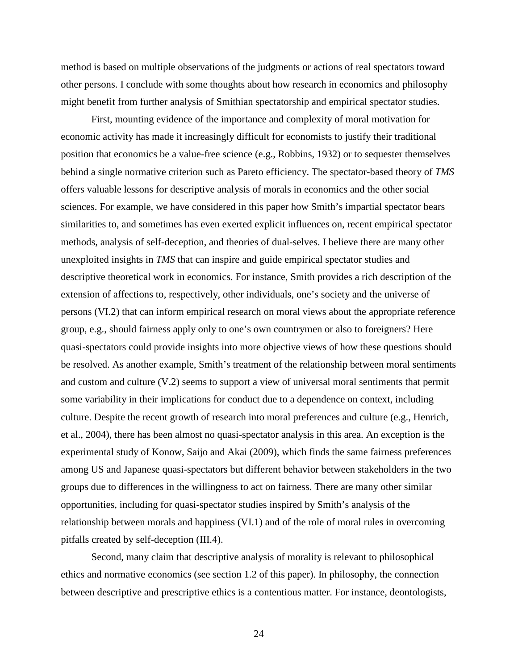method is based on multiple observations of the judgments or actions of real spectators toward other persons. I conclude with some thoughts about how research in economics and philosophy might benefit from further analysis of Smithian spectatorship and empirical spectator studies.

First, mounting evidence of the importance and complexity of moral motivation for economic activity has made it increasingly difficult for economists to justify their traditional position that economics be a value-free science (e.g., Robbins, 1932) or to sequester themselves behind a single normative criterion such as Pareto efficiency. The spectator-based theory of *TMS* offers valuable lessons for descriptive analysis of morals in economics and the other social sciences. For example, we have considered in this paper how Smith's impartial spectator bears similarities to, and sometimes has even exerted explicit influences on, recent empirical spectator methods, analysis of self-deception, and theories of dual-selves. I believe there are many other unexploited insights in *TMS* that can inspire and guide empirical spectator studies and descriptive theoretical work in economics. For instance, Smith provides a rich description of the extension of affections to, respectively, other individuals, one's society and the universe of persons (VI.2) that can inform empirical research on moral views about the appropriate reference group, e.g., should fairness apply only to one's own countrymen or also to foreigners? Here quasi-spectators could provide insights into more objective views of how these questions should be resolved. As another example, Smith's treatment of the relationship between moral sentiments and custom and culture (V.2) seems to support a view of universal moral sentiments that permit some variability in their implications for conduct due to a dependence on context, including culture. Despite the recent growth of research into moral preferences and culture (e.g., Henrich, et al., 2004), there has been almost no quasi-spectator analysis in this area. An exception is the experimental study of Konow, Saijo and Akai (2009), which finds the same fairness preferences among US and Japanese quasi-spectators but different behavior between stakeholders in the two groups due to differences in the willingness to act on fairness. There are many other similar opportunities, including for quasi-spectator studies inspired by Smith's analysis of the relationship between morals and happiness (VI.1) and of the role of moral rules in overcoming pitfalls created by self-deception (III.4).

Second, many claim that descriptive analysis of morality is relevant to philosophical ethics and normative economics (see section 1.2 of this paper). In philosophy, the connection between descriptive and prescriptive ethics is a contentious matter. For instance, deontologists,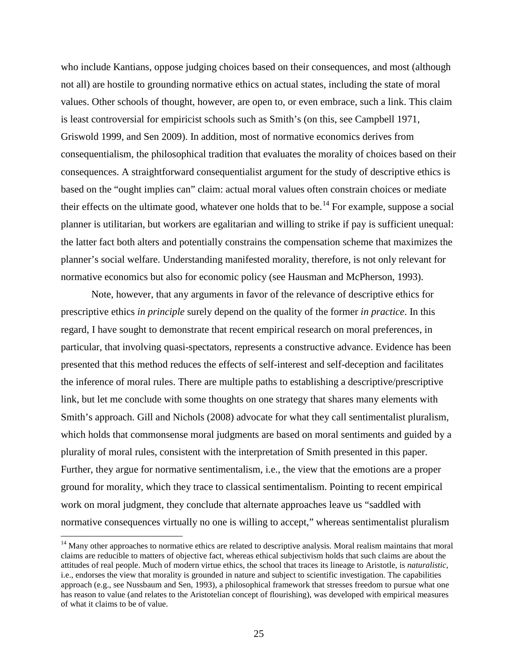who include Kantians, oppose judging choices based on their consequences, and most (although not all) are hostile to grounding normative ethics on actual states, including the state of moral values. Other schools of thought, however, are open to, or even embrace, such a link. This claim is least controversial for empiricist schools such as Smith's (on this, see Campbell 1971, Griswold 1999, and Sen 2009). In addition, most of normative economics derives from consequentialism, the philosophical tradition that evaluates the morality of choices based on their consequences. A straightforward consequentialist argument for the study of descriptive ethics is based on the "ought implies can" claim: actual moral values often constrain choices or mediate their effects on the ultimate good, whatever one holds that to be.<sup>[14](#page-26-0)</sup> For example, suppose a social planner is utilitarian, but workers are egalitarian and willing to strike if pay is sufficient unequal: the latter fact both alters and potentially constrains the compensation scheme that maximizes the planner's social welfare. Understanding manifested morality, therefore, is not only relevant for normative economics but also for economic policy (see Hausman and McPherson, 1993).

Note, however, that any arguments in favor of the relevance of descriptive ethics for prescriptive ethics *in principle* surely depend on the quality of the former *in practice*. In this regard, I have sought to demonstrate that recent empirical research on moral preferences, in particular, that involving quasi-spectators, represents a constructive advance. Evidence has been presented that this method reduces the effects of self-interest and self-deception and facilitates the inference of moral rules. There are multiple paths to establishing a descriptive/prescriptive link, but let me conclude with some thoughts on one strategy that shares many elements with Smith's approach. Gill and Nichols (2008) advocate for what they call sentimentalist pluralism, which holds that commonsense moral judgments are based on moral sentiments and guided by a plurality of moral rules, consistent with the interpretation of Smith presented in this paper. Further, they argue for normative sentimentalism, i.e., the view that the emotions are a proper ground for morality, which they trace to classical sentimentalism. Pointing to recent empirical work on moral judgment, they conclude that alternate approaches leave us "saddled with normative consequences virtually no one is willing to accept," whereas sentimentalist pluralism

<span id="page-26-0"></span><sup>&</sup>lt;sup>14</sup> Many other approaches to normative ethics are related to descriptive analysis. Moral realism maintains that moral claims are reducible to matters of objective fact, whereas ethical subjectivism holds that such claims are about the attitudes of real people. Much of modern virtue ethics, the school that traces its lineage to Aristotle, is *naturalistic*, i.e., endorses the view that morality is grounded in nature and subject to scientific investigation. The capabilities approach (e.g., see Nussbaum and Sen, 1993), a philosophical framework that stresses freedom to pursue what one has reason to value (and relates to the Aristotelian concept of flourishing), was developed with empirical measures of what it claims to be of value.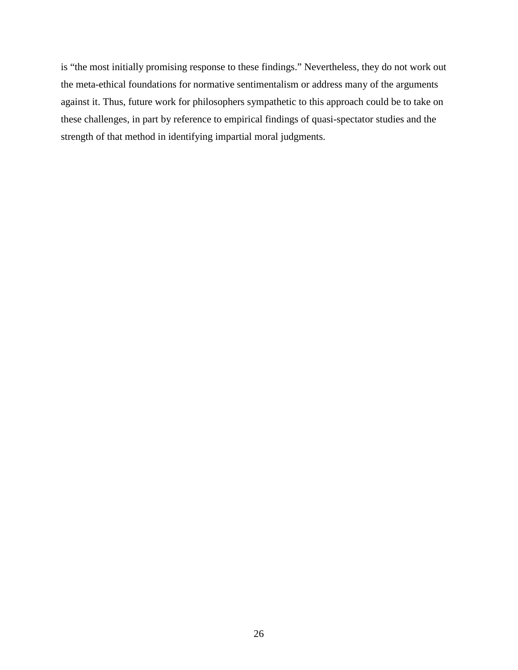is "the most initially promising response to these findings." Nevertheless, they do not work out the meta-ethical foundations for normative sentimentalism or address many of the arguments against it. Thus, future work for philosophers sympathetic to this approach could be to take on these challenges, in part by reference to empirical findings of quasi-spectator studies and the strength of that method in identifying impartial moral judgments.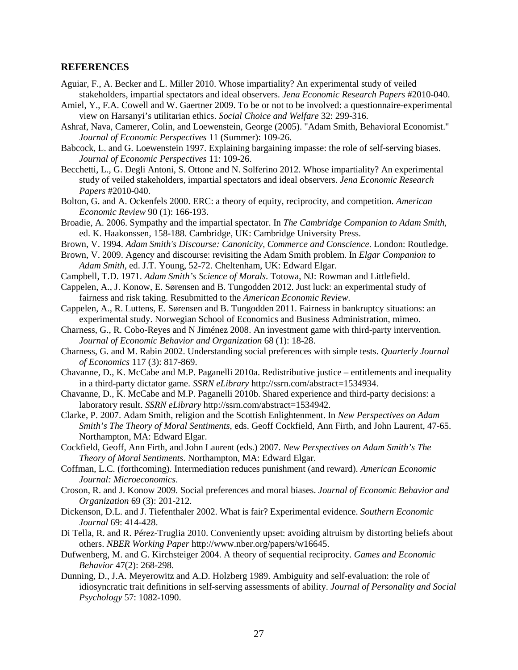## **REFERENCES**

- Aguiar, F., A. Becker and L. Miller 2010. Whose impartiality? An experimental study of veiled stakeholders, impartial spectators and ideal observers. *Jena Economic Research Papers* #2010-040.
- Amiel, Y., F.A. Cowell and W. Gaertner 2009. To be or not to be involved: a questionnaire-experimental view on Harsanyi's utilitarian ethics. *Social Choice and Welfare* 32: 299-316.
- Ashraf, Nava, Camerer, Colin, and Loewenstein, George (2005). "Adam Smith, Behavioral Economist." *Journal of Economic Perspectives* 11 (Summer): 109-26.
- Babcock, L. and G. Loewenstein 1997. Explaining bargaining impasse: the role of self-serving biases. *Journal of Economic Perspectives* 11: 109-26.
- Becchetti, L., G. Degli Antoni, S. Ottone and N. Solferino 2012. Whose impartiality? An experimental study of veiled stakeholders, impartial spectators and ideal observers. *Jena Economic Research Papers* #2010-040.
- Bolton, G. and A. Ockenfels 2000. ERC: a theory of equity, reciprocity, and competition. *American Economic Review* 90 (1): 166-193.
- Broadie, A. 2006. Sympathy and the impartial spectator. In *The Cambridge Companion to Adam Smith*, ed. K. Haakonssen, 158-188. Cambridge, UK: Cambridge University Press.
- Brown, V. 1994. *Adam Smith's Discourse: Canonicity, Commerce and Conscience*. London: Routledge.
- Brown, V. 2009. Agency and discourse: revisiting the Adam Smith problem. In *Elgar Companion to Adam Smith*, ed. J.T. Young, 52-72. Cheltenham, UK: Edward Elgar.
- Campbell, T.D. 1971. *Adam Smith's Science of Morals*. Totowa, NJ: Rowman and Littlefield.
- Cappelen, A., J. Konow, E. Sørensen and B. Tungodden 2012. Just luck: an experimental study of fairness and risk taking. Resubmitted to the *American Economic Review*.
- Cappelen, A., R. Luttens, E. Sørensen and B. Tungodden 2011. Fairness in bankruptcy situations: an experimental study. Norwegian School of Economics and Business Administration, mimeo.
- Charness, G., R. Cobo-Reyes and N Jiménez 2008. An investment game with third-party intervention. *Journal of Economic Behavior and Organization* 68 (1): 18-28.
- Charness, G. and M. Rabin 2002. Understanding social preferences with simple tests. *Quarterly Journal of Economics* 117 (3): 817-869.
- Chavanne, D., K. McCabe and M.P. Paganelli 2010a. Redistributive justice entitlements and inequality in a third-party dictator game. *SSRN eLibrary* http://ssrn.com/abstract=1534934.
- Chavanne, D., K. McCabe and M.P. Paganelli 2010b. Shared experience and third-party decisions: a laboratory result. *SSRN eLibrary* http://ssrn.com/abstract=1534942.
- Clarke, P. 2007. Adam Smith, religion and the Scottish Enlightenment. In *New Perspectives on Adam Smith's The Theory of Moral Sentiments*, eds. Geoff Cockfield, Ann Firth, and John Laurent, 47-65. Northampton, MA: Edward Elgar.
- Cockfield, Geoff, Ann Firth, and John Laurent (eds.) 2007. *New Perspectives on Adam Smith's The Theory of Moral Sentiments*. Northampton, MA: Edward Elgar.
- Coffman, L.C. (forthcoming). Intermediation reduces punishment (and reward). *American Economic Journal: Microeconomics*.
- Croson, R. and J. Konow 2009. Social preferences and moral biases. *Journal of Economic Behavior and Organization* 69 (3): 201-212.
- Dickenson, D.L. and J. Tiefenthaler 2002. What is fair? Experimental evidence. *Southern Economic Journal* 69: 414-428.
- Di Tella, R. and R. Pérez-Truglia 2010. Conveniently upset: avoiding altruism by distorting beliefs about others. *NBER Working Paper* http://www.nber.org/papers/w16645.
- Dufwenberg, M. and G. Kirchsteiger 2004. A theory of sequential reciprocity. *Games and Economic Behavior* 47(2): 268-298.
- Dunning, D., J.A. Meyerowitz and A.D. Holzberg 1989. Ambiguity and self-evaluation: the role of idiosyncratic trait definitions in self-serving assessments of ability. *Journal of Personality and Social Psychology* 57: 1082-1090.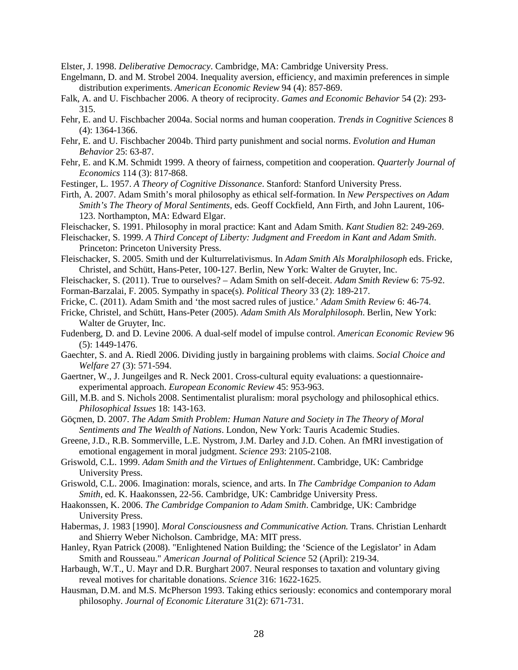Elster, J. 1998. *Deliberative Democracy*. Cambridge, MA: Cambridge University Press.

- Engelmann, D. and M. Strobel 2004. Inequality aversion, efficiency, and maximin preferences in simple distribution experiments. *American Economic Review* 94 (4): 857-869.
- Falk, A. and U. Fischbacher 2006. A theory of reciprocity. *Games and Economic Behavior* 54 (2): 293- 315.
- Fehr, E. and U. Fischbacher 2004a. Social norms and human cooperation. *Trends in Cognitive Sciences* 8 (4): 1364-1366.
- Fehr, E. and U. Fischbacher 2004b. Third party punishment and social norms. *Evolution and Human Behavior* 25: 63-87.
- Fehr, E. and K.M. Schmidt 1999. A theory of fairness, competition and cooperation. *Quarterly Journal of Economics* 114 (3): 817-868.
- Festinger, L. 1957. *A Theory of Cognitive Dissonance*. Stanford: Stanford University Press.
- Firth, A. 2007. Adam Smith's moral philosophy as ethical self-formation. In *New Perspectives on Adam Smith's The Theory of Moral Sentiments*, eds. Geoff Cockfield, Ann Firth, and John Laurent, 106- 123. Northampton, MA: Edward Elgar.
- Fleischacker, S. 1991. Philosophy in moral practice: Kant and Adam Smith. *Kant Studien* 82: 249-269.
- Fleischacker, S. 1999. *A Third Concept of Liberty: Judgment and Freedom in Kant and Adam Smith*. Princeton: Princeton University Press.
- Fleischacker, S. 2005. Smith und der Kulturrelativismus. In *Adam Smith Als Moralphilosoph* eds. Fricke, Christel, and Schütt, Hans-Peter, 100-127. Berlin, New York: Walter de Gruyter, Inc.
- Fleischacker, S. (2011). True to ourselves? Adam Smith on self-deceit. *Adam Smith Review* 6: 75-92. Forman-Barzalai, F. 2005. Sympathy in space(s). *Political Theory* 33 (2): 189-217.
- Fricke, C. (2011). Adam Smith and 'the most sacred rules of justice.' *Adam Smith Review* 6: 46-74.
- Fricke, Christel, and Schütt, Hans-Peter (2005). *Adam Smith Als Moralphilosoph*. Berlin, New York: Walter de Gruyter, Inc.
- Fudenberg, D. and D. Levine 2006. A dual-self model of impulse control. *American Economic Review* 96 (5): 1449-1476.
- Gaechter, S. and A. Riedl 2006. Dividing justly in bargaining problems with claims. *Social Choice and Welfare* 27 (3): 571-594.
- Gaertner, W., J. Jungeilges and R. Neck 2001. Cross-cultural equity evaluations: a questionnaireexperimental approach. *European Economic Review* 45: 953-963.
- Gill, M.B. and S. Nichols 2008. Sentimentalist pluralism: moral psychology and philosophical ethics. *Philosophical Issues* 18: 143-163.
- Göçmen, D. 2007. *The Adam Smith Problem: Human Nature and Society in The Theory of Moral Sentiments and The Wealth of Nations*. London, New York: Tauris Academic Studies.
- Greene, J.D., R.B. Sommerville, L.E. Nystrom, J.M. Darley and J.D. Cohen. An fMRI investigation of emotional engagement in moral judgment. *Science* 293: 2105-2108.
- Griswold, C.L. 1999. *Adam Smith and the Virtues of Enlightenment*. Cambridge, UK: Cambridge University Press.
- Griswold, C.L. 2006. Imagination: morals, science, and arts. In *The Cambridge Companion to Adam Smith*, ed. K. Haakonssen, 22-56. Cambridge, UK: Cambridge University Press.
- Haakonssen, K. 2006. *The Cambridge Companion to Adam Smith*. Cambridge, UK: Cambridge University Press.
- Habermas, J. 1983 [1990]. *Moral Consciousness and Communicative Action.* Trans. Christian Lenhardt and Shierry Weber Nicholson. Cambridge, MA: MIT press.
- Hanley, Ryan Patrick (2008). "Enlightened Nation Building; the 'Science of the Legislator' in Adam Smith and Rousseau." *American Journal of Political Science* 52 (April): 219-34.
- Harbaugh, W.T., U. Mayr and D.R. Burghart 2007. Neural responses to taxation and voluntary giving reveal motives for charitable donations. *Science* 316: 1622-1625.
- Hausman, D.M. and M.S. McPherson 1993. Taking ethics seriously: economics and contemporary moral philosophy. *Journal of Economic Literature* 31(2): 671-731.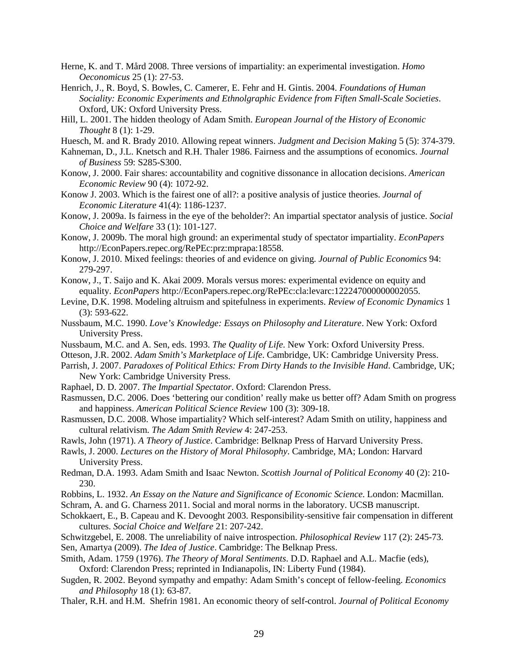- Herne, K. and T. Mård 2008. Three versions of impartiality: an experimental investigation. *Homo Oeconomicus* 25 (1): 27-53.
- Henrich, J., R. Boyd, S. Bowles, C. Camerer, E. Fehr and H. Gintis. 2004. *Foundations of Human Sociality: Economic Experiments and Ethnolgraphic Evidence from Fiften Small-Scale Societies*. Oxford, UK: Oxford University Press.
- Hill, L. 2001. The hidden theology of Adam Smith. *European Journal of the History of Economic Thought* 8 (1): 1-29.
- Huesch, M. and R. Brady 2010. Allowing repeat winners. *Judgment and Decision Making* 5 (5): 374-379.
- Kahneman, D., J.L. Knetsch and R.H. Thaler 1986. Fairness and the assumptions of economics. *Journal of Business* 59: S285-S300.
- Konow, J. 2000. Fair shares: accountability and cognitive dissonance in allocation decisions. *American Economic Review* 90 (4): 1072-92.
- Konow J. 2003. Which is the fairest one of all?: a positive analysis of justice theories. *Journal of Economic Literature* 41(4): 1186-1237.
- Konow, J. 2009a. Is fairness in the eye of the beholder?: An impartial spectator analysis of justice. *Social Choice and Welfare* 33 (1): 101-127.
- Konow, J. 2009b. The moral high ground: an experimental study of spectator impartiality. *EconPapers* http://EconPapers.repec.org/RePEc:prz:mprapa:18558.
- Konow, J. 2010. Mixed feelings: theories of and evidence on giving. *Journal of Public Economics* 94: 279-297.
- Konow, J., T. Saijo and K. Akai 2009. Morals versus mores: experimental evidence on equity and equality. *EconPapers* http://EconPapers.repec.org/RePEc:cla:levarc:122247000000002055.
- Levine, D.K. 1998. Modeling altruism and spitefulness in experiments. *Review of Economic Dynamics* 1 (3): 593-622.
- Nussbaum, M.C. 1990. *Love's Knowledge: Essays on Philosophy and Literature*. New York: Oxford University Press.
- Nussbaum, M.C. and A. Sen, eds. 1993. *The Quality of Life*. New York: Oxford University Press.
- Otteson, J.R. 2002. *Adam Smith's Marketplace of Life*. Cambridge, UK: Cambridge University Press.
- Parrish, J. 2007. *Paradoxes of Political Ethics: From Dirty Hands to the Invisible Hand*. Cambridge, UK; New York: Cambridge University Press.
- Raphael, D. D. 2007. *The Impartial Spectator*. Oxford: Clarendon Press.
- Rasmussen, D.C. 2006. Does 'bettering our condition' really make us better off? Adam Smith on progress and happiness. *American Political Science Review* 100 (3): 309-18.
- Rasmussen, D.C. 2008. Whose impartiality? Which self-interest? Adam Smith on utility, happiness and cultural relativism. *The Adam Smith Review* 4: 247-253.
- Rawls, John (1971). *A Theory of Justice*. Cambridge: Belknap Press of Harvard University Press.
- Rawls, J. 2000. *Lectures on the History of Moral Philosophy*. Cambridge, MA; London: Harvard University Press.
- Redman, D.A. 1993. Adam Smith and Isaac Newton. *Scottish Journal of Political Economy* 40 (2): 210- 230.
- Robbins, L. 1932. *An Essay on the Nature and Significance of Economic Science*. London: Macmillan.
- Schram, A. and G. Charness 2011. Social and moral norms in the laboratory. UCSB manuscript.
- Schokkaert, E., B. Capeau and K. Devooght 2003. Responsibility-sensitive fair compensation in different cultures. *Social Choice and Welfare* 21: 207-242.
- Schwitzgebel, E. 2008. The unreliability of naive introspection. *Philosophical Review* 117 (2): 245-73.
- Sen, Amartya (2009). *The Idea of Justice*. Cambridge: The Belknap Press.
- Smith, Adam. 1759 (1976). *The Theory of Moral Sentiments*. D.D. Raphael and A.L. Macfie (eds), Oxford: Clarendon Press; reprinted in Indianapolis, IN: Liberty Fund (1984).
- Sugden, R. 2002. Beyond sympathy and empathy: Adam Smith's concept of fellow-feeling. *Economics and Philosophy* 18 (1): 63-87.
- Thaler, R.H. and H.M. Shefrin 1981. An economic theory of self-control. *Journal of Political Economy*